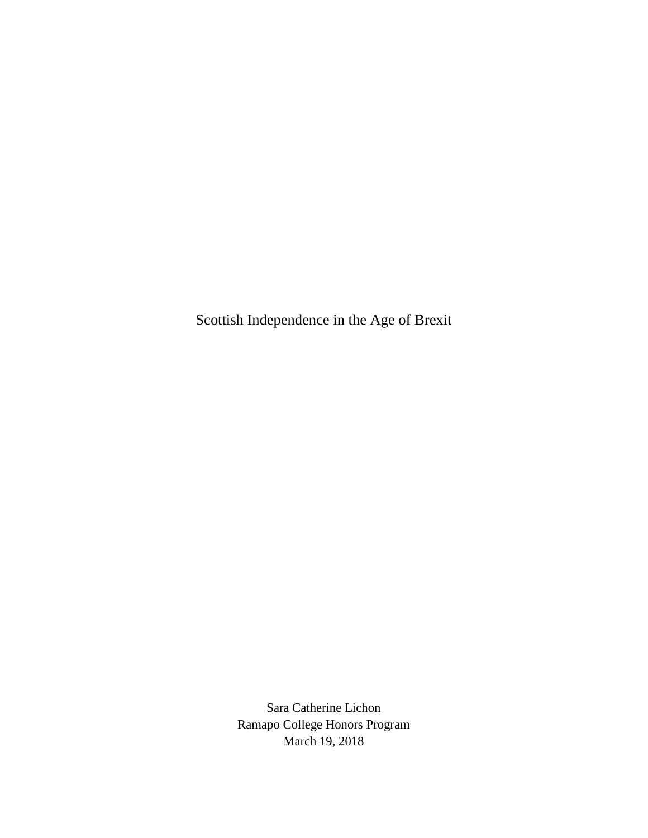Scottish Independence in the Age of Brexit

Sara Catherine Lichon Ramapo College Honors Program March 19, 2018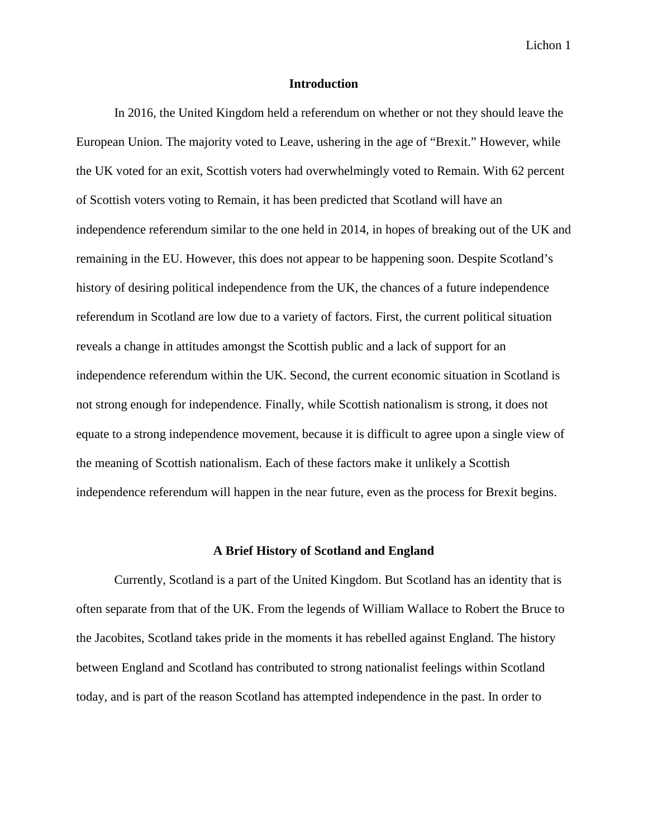#### **Introduction**

In 2016, the United Kingdom held a referendum on whether or not they should leave the European Union. The majority voted to Leave, ushering in the age of "Brexit." However, while the UK voted for an exit, Scottish voters had overwhelmingly voted to Remain. With 62 percent of Scottish voters voting to Remain, it has been predicted that Scotland will have an independence referendum similar to the one held in 2014, in hopes of breaking out of the UK and remaining in the EU. However, this does not appear to be happening soon. Despite Scotland's history of desiring political independence from the UK, the chances of a future independence referendum in Scotland are low due to a variety of factors. First, the current political situation reveals a change in attitudes amongst the Scottish public and a lack of support for an independence referendum within the UK. Second, the current economic situation in Scotland is not strong enough for independence. Finally, while Scottish nationalism is strong, it does not equate to a strong independence movement, because it is difficult to agree upon a single view of the meaning of Scottish nationalism. Each of these factors make it unlikely a Scottish independence referendum will happen in the near future, even as the process for Brexit begins.

#### **A Brief History of Scotland and England**

Currently, Scotland is a part of the United Kingdom. But Scotland has an identity that is often separate from that of the UK. From the legends of William Wallace to Robert the Bruce to the Jacobites, Scotland takes pride in the moments it has rebelled against England. The history between England and Scotland has contributed to strong nationalist feelings within Scotland today, and is part of the reason Scotland has attempted independence in the past. In order to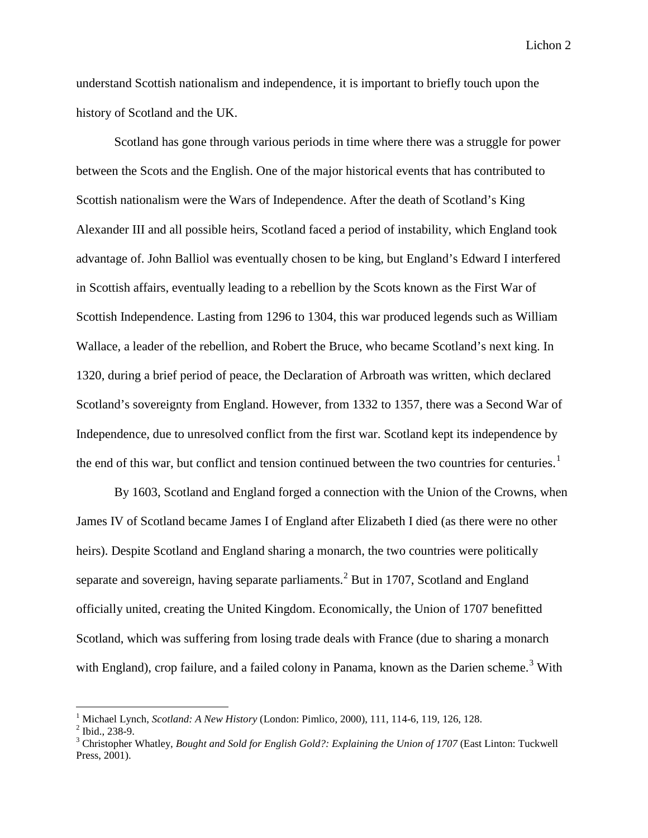understand Scottish nationalism and independence, it is important to briefly touch upon the history of Scotland and the UK.

Scotland has gone through various periods in time where there was a struggle for power between the Scots and the English. One of the major historical events that has contributed to Scottish nationalism were the Wars of Independence. After the death of Scotland's King Alexander III and all possible heirs, Scotland faced a period of instability, which England took advantage of. John Balliol was eventually chosen to be king, but England's Edward I interfered in Scottish affairs, eventually leading to a rebellion by the Scots known as the First War of Scottish Independence. Lasting from 1296 to 1304, this war produced legends such as William Wallace, a leader of the rebellion, and Robert the Bruce, who became Scotland's next king. In 1320, during a brief period of peace, the Declaration of Arbroath was written, which declared Scotland's sovereignty from England. However, from 1332 to 1357, there was a Second War of Independence, due to unresolved conflict from the first war. Scotland kept its independence by the end of this war, but conflict and tension continued between the two countries for centuries.<sup>[1](#page-2-0)</sup>

By 1603, Scotland and England forged a connection with the Union of the Crowns, when James IV of Scotland became James I of England after Elizabeth I died (as there were no other heirs). Despite Scotland and England sharing a monarch, the two countries were politically separate and sovereign, having separate parliaments.<sup>[2](#page-2-1)</sup> But in 1707, Scotland and England officially united, creating the United Kingdom. Economically, the Union of 1707 benefitted Scotland, which was suffering from losing trade deals with France (due to sharing a monarch with England), crop failure, and a failed colony in Panama, known as the Darien scheme.<sup>[3](#page-2-2)</sup> With

<span id="page-2-2"></span>

<span id="page-2-1"></span><span id="page-2-0"></span><sup>&</sup>lt;sup>1</sup> Michael Lynch, *Scotland: A New History* (London: Pimlico, 2000), 111, 114-6, 119, 126, 128.<br><sup>2</sup> Ibid., 238-9.<br><sup>3</sup> Christopher Whatley, *Bought and Sold for English Gold?: Explaining the Union of 1707* (East Linton: T Press, 2001).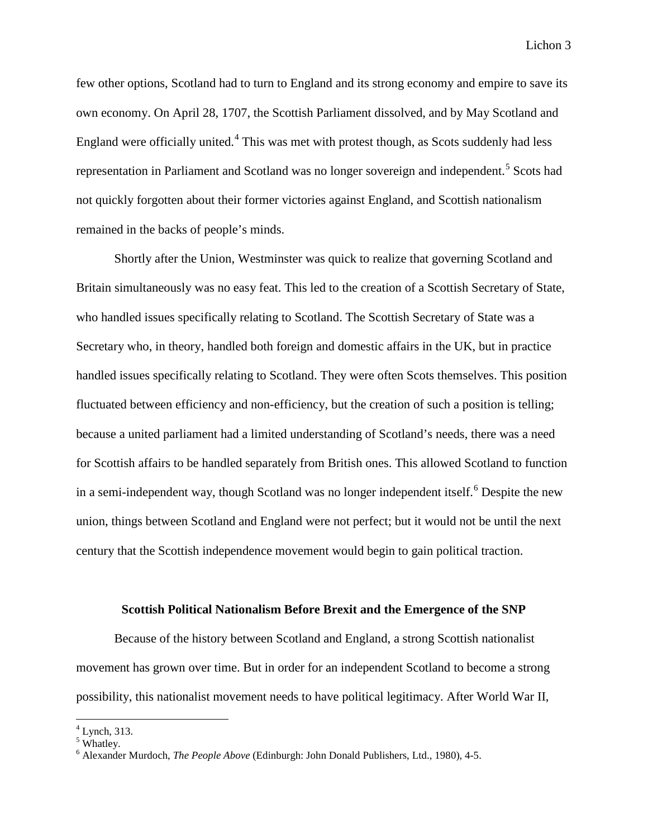few other options, Scotland had to turn to England and its strong economy and empire to save its own economy. On April 28, 1707, the Scottish Parliament dissolved, and by May Scotland and England were officially united. $4$  This was met with protest though, as Scots suddenly had less representation in Parliament and Scotland was no longer sovereign and independent.<sup>[5](#page-3-1)</sup> Scots had not quickly forgotten about their former victories against England, and Scottish nationalism remained in the backs of people's minds.

Shortly after the Union, Westminster was quick to realize that governing Scotland and Britain simultaneously was no easy feat. This led to the creation of a Scottish Secretary of State, who handled issues specifically relating to Scotland. The Scottish Secretary of State was a Secretary who, in theory, handled both foreign and domestic affairs in the UK, but in practice handled issues specifically relating to Scotland. They were often Scots themselves. This position fluctuated between efficiency and non-efficiency, but the creation of such a position is telling; because a united parliament had a limited understanding of Scotland's needs, there was a need for Scottish affairs to be handled separately from British ones. This allowed Scotland to function in a semi-independent way, though Scotland was no longer independent itself.<sup>[6](#page-3-2)</sup> Despite the new union, things between Scotland and England were not perfect; but it would not be until the next century that the Scottish independence movement would begin to gain political traction.

#### **Scottish Political Nationalism Before Brexit and the Emergence of the SNP**

Because of the history between Scotland and England, a strong Scottish nationalist movement has grown over time. But in order for an independent Scotland to become a strong possibility, this nationalist movement needs to have political legitimacy. After World War II,

 $4$  Lynch, 313.

<span id="page-3-1"></span><span id="page-3-0"></span><sup>&</sup>lt;sup>5</sup> Whatley.

<span id="page-3-2"></span><sup>6</sup> Alexander Murdoch, *The People Above* (Edinburgh: John Donald Publishers, Ltd., 1980)*,* 4-5.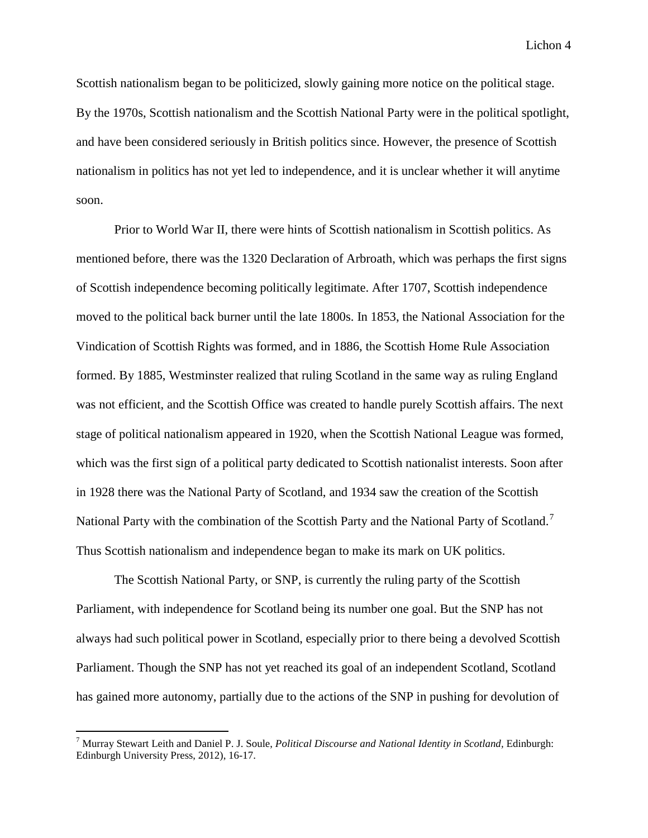Scottish nationalism began to be politicized, slowly gaining more notice on the political stage. By the 1970s, Scottish nationalism and the Scottish National Party were in the political spotlight, and have been considered seriously in British politics since. However, the presence of Scottish nationalism in politics has not yet led to independence, and it is unclear whether it will anytime soon.

Prior to World War II, there were hints of Scottish nationalism in Scottish politics. As mentioned before, there was the 1320 Declaration of Arbroath, which was perhaps the first signs of Scottish independence becoming politically legitimate. After 1707, Scottish independence moved to the political back burner until the late 1800s. In 1853, the National Association for the Vindication of Scottish Rights was formed, and in 1886, the Scottish Home Rule Association formed. By 1885, Westminster realized that ruling Scotland in the same way as ruling England was not efficient, and the Scottish Office was created to handle purely Scottish affairs. The next stage of political nationalism appeared in 1920, when the Scottish National League was formed, which was the first sign of a political party dedicated to Scottish nationalist interests. Soon after in 1928 there was the National Party of Scotland, and 1934 saw the creation of the Scottish National Party with the combination of the Scottish Party and the National Party of Scotland.<sup>[7](#page-4-0)</sup> Thus Scottish nationalism and independence began to make its mark on UK politics.

The Scottish National Party, or SNP, is currently the ruling party of the Scottish Parliament, with independence for Scotland being its number one goal. But the SNP has not always had such political power in Scotland, especially prior to there being a devolved Scottish Parliament. Though the SNP has not yet reached its goal of an independent Scotland, Scotland has gained more autonomy, partially due to the actions of the SNP in pushing for devolution of

<span id="page-4-0"></span> <sup>7</sup> Murray Stewart Leith and Daniel P. J. Soule, *Political Discourse and National Identity in Scotland,* Edinburgh: Edinburgh University Press, 2012), 16-17.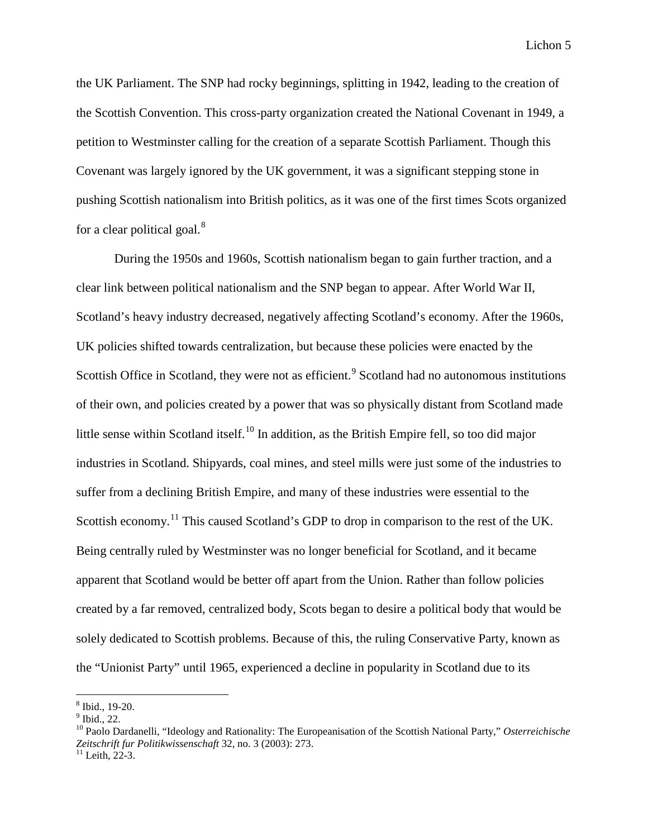the UK Parliament. The SNP had rocky beginnings, splitting in 1942, leading to the creation of the Scottish Convention. This cross-party organization created the National Covenant in 1949, a petition to Westminster calling for the creation of a separate Scottish Parliament. Though this Covenant was largely ignored by the UK government, it was a significant stepping stone in pushing Scottish nationalism into British politics, as it was one of the first times Scots organized for a clear political goal. $8$ 

During the 1950s and 1960s, Scottish nationalism began to gain further traction, and a clear link between political nationalism and the SNP began to appear. After World War II, Scotland's heavy industry decreased, negatively affecting Scotland's economy. After the 1960s, UK policies shifted towards centralization, but because these policies were enacted by the Scottish Office in Scotland, they were not as efficient.<sup>[9](#page-5-1)</sup> Scotland had no autonomous institutions of their own, and policies created by a power that was so physically distant from Scotland made little sense within Scotland itself.<sup>[10](#page-5-2)</sup> In addition, as the British Empire fell, so too did major industries in Scotland. Shipyards, coal mines, and steel mills were just some of the industries to suffer from a declining British Empire, and many of these industries were essential to the Scottish economy.<sup>[11](#page-5-3)</sup> This caused Scotland's GDP to drop in comparison to the rest of the UK. Being centrally ruled by Westminster was no longer beneficial for Scotland, and it became apparent that Scotland would be better off apart from the Union. Rather than follow policies created by a far removed, centralized body, Scots began to desire a political body that would be solely dedicated to Scottish problems. Because of this, the ruling Conservative Party, known as the "Unionist Party" until 1965, experienced a decline in popularity in Scotland due to its

<span id="page-5-0"></span> $\frac{8}{9}$  Ibid., 19-20.<br> $\frac{9}{1}$ Ibid., 22.

<span id="page-5-2"></span><span id="page-5-1"></span><sup>10</sup> Paolo Dardanelli, "Ideology and Rationality: The Europeanisation of the Scottish National Party," *Osterreichische Zeitschrift fur Politikwissenschaft* 32, no. 3 (2003): 273. <sup>11</sup> Leith, 22-3.

<span id="page-5-3"></span>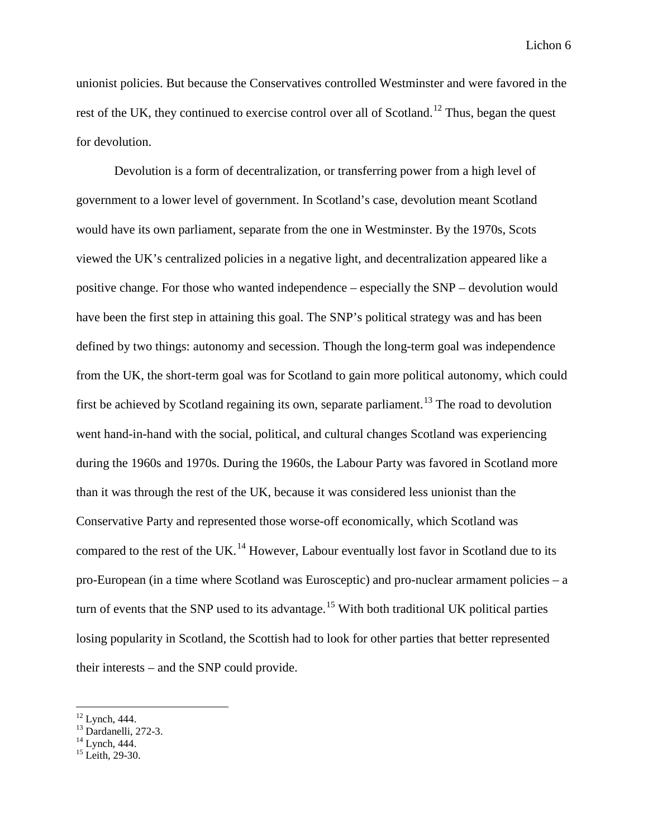unionist policies. But because the Conservatives controlled Westminster and were favored in the rest of the UK, they continued to exercise control over all of Scotland.<sup>[12](#page-6-0)</sup> Thus, began the quest for devolution.

Devolution is a form of decentralization, or transferring power from a high level of government to a lower level of government. In Scotland's case, devolution meant Scotland would have its own parliament, separate from the one in Westminster. By the 1970s, Scots viewed the UK's centralized policies in a negative light, and decentralization appeared like a positive change. For those who wanted independence – especially the SNP – devolution would have been the first step in attaining this goal. The SNP's political strategy was and has been defined by two things: autonomy and secession. Though the long-term goal was independence from the UK, the short-term goal was for Scotland to gain more political autonomy, which could first be achieved by Scotland regaining its own, separate parliament.<sup>[13](#page-6-1)</sup> The road to devolution went hand-in-hand with the social, political, and cultural changes Scotland was experiencing during the 1960s and 1970s. During the 1960s, the Labour Party was favored in Scotland more than it was through the rest of the UK, because it was considered less unionist than the Conservative Party and represented those worse-off economically, which Scotland was compared to the rest of the UK.<sup>[14](#page-6-2)</sup> However, Labour eventually lost favor in Scotland due to its pro-European (in a time where Scotland was Eurosceptic) and pro-nuclear armament policies – a turn of events that the SNP used to its advantage.<sup>[15](#page-6-3)</sup> With both traditional UK political parties losing popularity in Scotland, the Scottish had to look for other parties that better represented their interests – and the SNP could provide.

<span id="page-6-1"></span><span id="page-6-0"></span><sup>&</sup>lt;sup>12</sup> Lynch, 444.<br>
<sup>13</sup> Dardanelli, 272-3.<br>
<sup>14</sup> Lynch, 444.<br>
<sup>15</sup> Leith. 29-30.

<span id="page-6-3"></span><span id="page-6-2"></span>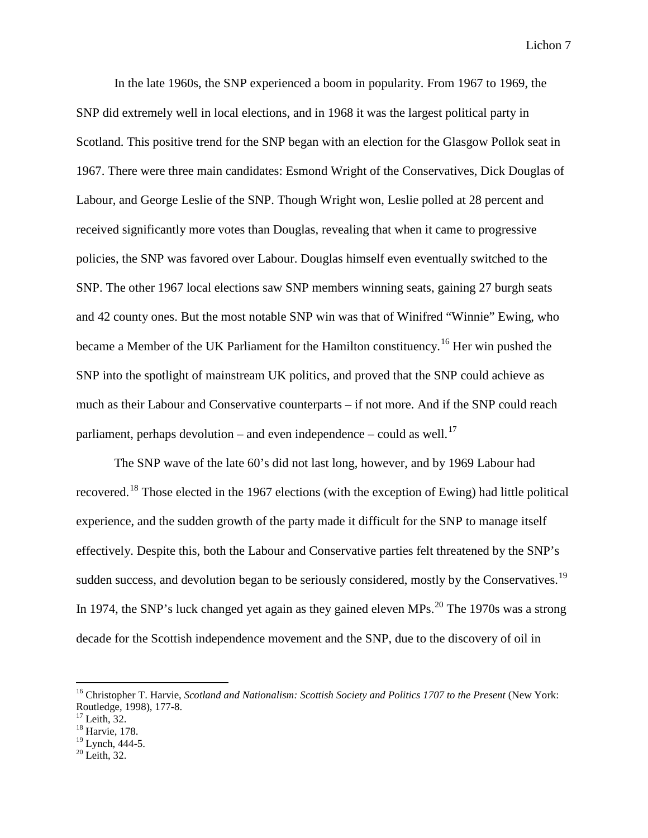In the late 1960s, the SNP experienced a boom in popularity. From 1967 to 1969, the SNP did extremely well in local elections, and in 1968 it was the largest political party in Scotland. This positive trend for the SNP began with an election for the Glasgow Pollok seat in 1967. There were three main candidates: Esmond Wright of the Conservatives, Dick Douglas of Labour, and George Leslie of the SNP. Though Wright won, Leslie polled at 28 percent and received significantly more votes than Douglas, revealing that when it came to progressive policies, the SNP was favored over Labour. Douglas himself even eventually switched to the SNP. The other 1967 local elections saw SNP members winning seats, gaining 27 burgh seats and 42 county ones. But the most notable SNP win was that of Winifred "Winnie" Ewing, who became a Member of the UK Parliament for the Hamilton constituency.<sup>[16](#page-7-0)</sup> Her win pushed the SNP into the spotlight of mainstream UK politics, and proved that the SNP could achieve as much as their Labour and Conservative counterparts – if not more. And if the SNP could reach parliament, perhaps devolution – and even independence – could as well.<sup>[17](#page-7-1)</sup>

The SNP wave of the late 60's did not last long, however, and by 1969 Labour had recovered.<sup>[18](#page-7-2)</sup> Those elected in the 1967 elections (with the exception of Ewing) had little political experience, and the sudden growth of the party made it difficult for the SNP to manage itself effectively. Despite this, both the Labour and Conservative parties felt threatened by the SNP's sudden success, and devolution began to be seriously considered, mostly by the Conservatives.<sup>[19](#page-7-3)</sup> In 1974, the SNP's luck changed yet again as they gained eleven MPs. $^{20}$  $^{20}$  $^{20}$  The 1970s was a strong decade for the Scottish independence movement and the SNP, due to the discovery of oil in

<span id="page-7-0"></span> <sup>16</sup> Christopher T. Harvie, *Scotland and Nationalism: Scottish Society and Politics 1707 to the Present* (New York: Routledge, 1998), 177-8.<br><sup>17</sup> Leith, 32.<br><sup>18</sup> Harvie, 178.

<span id="page-7-2"></span><span id="page-7-1"></span>

<span id="page-7-3"></span> $^{19}$  Lynch, 444-5.<br> $^{20}$  Leith, 32.

<span id="page-7-4"></span>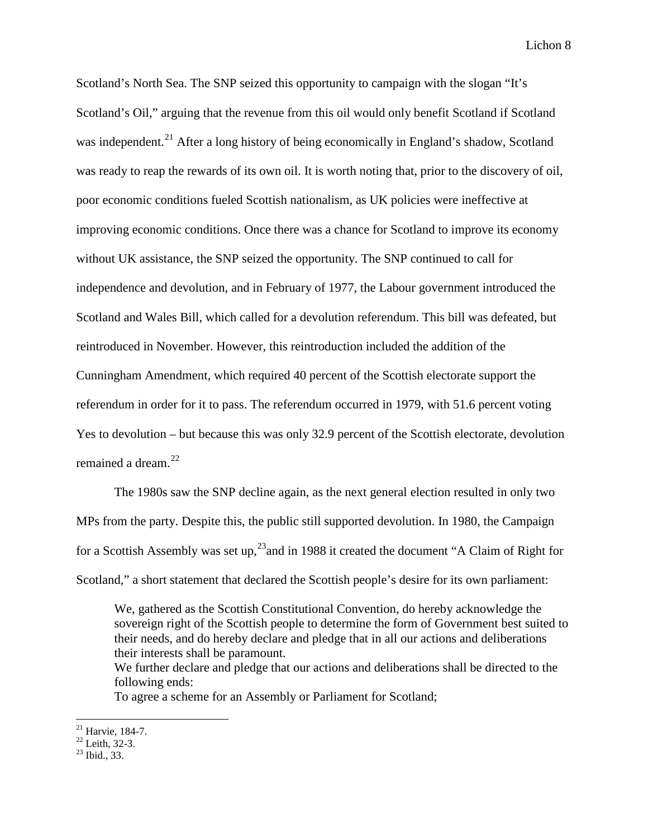Scotland's North Sea. The SNP seized this opportunity to campaign with the slogan "It's Scotland's Oil," arguing that the revenue from this oil would only benefit Scotland if Scotland was independent.<sup>[21](#page-8-0)</sup> After a long history of being economically in England's shadow, Scotland was ready to reap the rewards of its own oil. It is worth noting that, prior to the discovery of oil, poor economic conditions fueled Scottish nationalism, as UK policies were ineffective at improving economic conditions. Once there was a chance for Scotland to improve its economy without UK assistance, the SNP seized the opportunity. The SNP continued to call for independence and devolution, and in February of 1977, the Labour government introduced the Scotland and Wales Bill, which called for a devolution referendum. This bill was defeated, but reintroduced in November. However, this reintroduction included the addition of the Cunningham Amendment, which required 40 percent of the Scottish electorate support the referendum in order for it to pass. The referendum occurred in 1979, with 51.6 percent voting Yes to devolution – but because this was only 32.9 percent of the Scottish electorate, devolution remained a dream. [22](#page-8-1)

The 1980s saw the SNP decline again, as the next general election resulted in only two MPs from the party. Despite this, the public still supported devolution. In 1980, the Campaign for a Scottish Assembly was set up,  $^{23}$  and in 1988 it created the document "A Claim of Right for Scotland," a short statement that declared the Scottish people's desire for its own parliament:

We, gathered as the Scottish Constitutional Convention, do hereby acknowledge the sovereign right of the Scottish people to determine the form of Government best suited to their needs, and do hereby declare and pledge that in all our actions and deliberations their interests shall be paramount.

We further declare and pledge that our actions and deliberations shall be directed to the following ends:

To agree a scheme for an Assembly or Parliament for Scotland;

<span id="page-8-1"></span><span id="page-8-0"></span><sup>&</sup>lt;sup>21</sup> Harvie, 184-7.<br><sup>22</sup> Leith, 32-3.<br><sup>23</sup> Ibid., 33.

<span id="page-8-2"></span>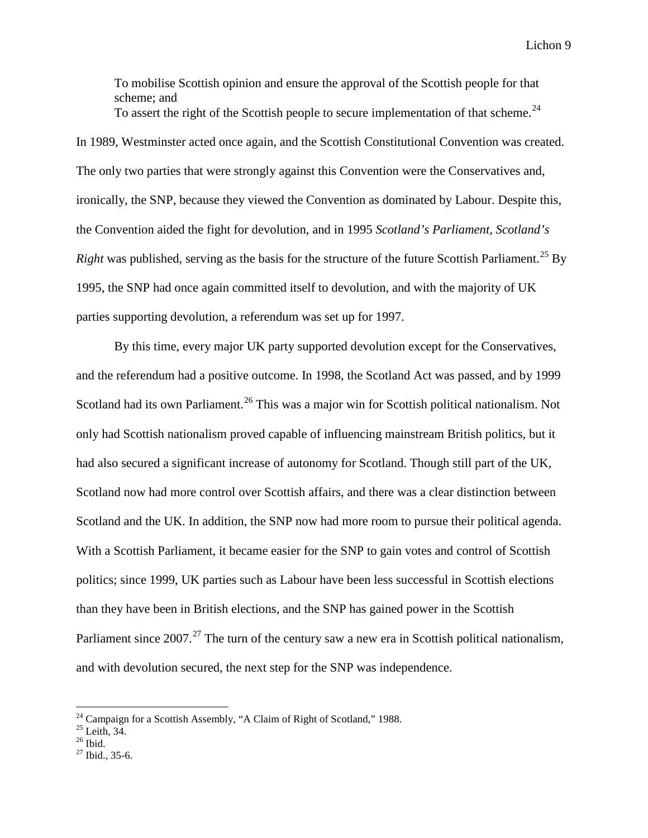To mobilise Scottish opinion and ensure the approval of the Scottish people for that scheme; and To assert the right of the Scottish people to secure implementation of that scheme.<sup>[24](#page-9-0)</sup>

In 1989, Westminster acted once again, and the Scottish Constitutional Convention was created. The only two parties that were strongly against this Convention were the Conservatives and, ironically, the SNP, because they viewed the Convention as dominated by Labour. Despite this, the Convention aided the fight for devolution, and in 1995 *Scotland's Parliament, Scotland's*  Right was published, serving as the basis for the structure of the future Scottish Parliament.<sup>[25](#page-9-1)</sup> By 1995, the SNP had once again committed itself to devolution, and with the majority of UK parties supporting devolution, a referendum was set up for 1997.

By this time, every major UK party supported devolution except for the Conservatives, and the referendum had a positive outcome. In 1998, the Scotland Act was passed, and by 1999 Scotland had its own Parliament.<sup>[26](#page-9-2)</sup> This was a major win for Scottish political nationalism. Not only had Scottish nationalism proved capable of influencing mainstream British politics, but it had also secured a significant increase of autonomy for Scotland. Though still part of the UK, Scotland now had more control over Scottish affairs, and there was a clear distinction between Scotland and the UK. In addition, the SNP now had more room to pursue their political agenda. With a Scottish Parliament, it became easier for the SNP to gain votes and control of Scottish politics; since 1999, UK parties such as Labour have been less successful in Scottish elections than they have been in British elections, and the SNP has gained power in the Scottish Parliament since 2007.<sup>[27](#page-9-3)</sup> The turn of the century saw a new era in Scottish political nationalism, and with devolution secured, the next step for the SNP was independence.

<span id="page-9-0"></span><sup>&</sup>lt;sup>24</sup> Campaign for a Scottish Assembly, "A Claim of Right of Scotland," 1988.<br><sup>25</sup> Leith, 34.<br><sup>26</sup> Ibid., 35-6.

<span id="page-9-2"></span><span id="page-9-1"></span>

<span id="page-9-3"></span>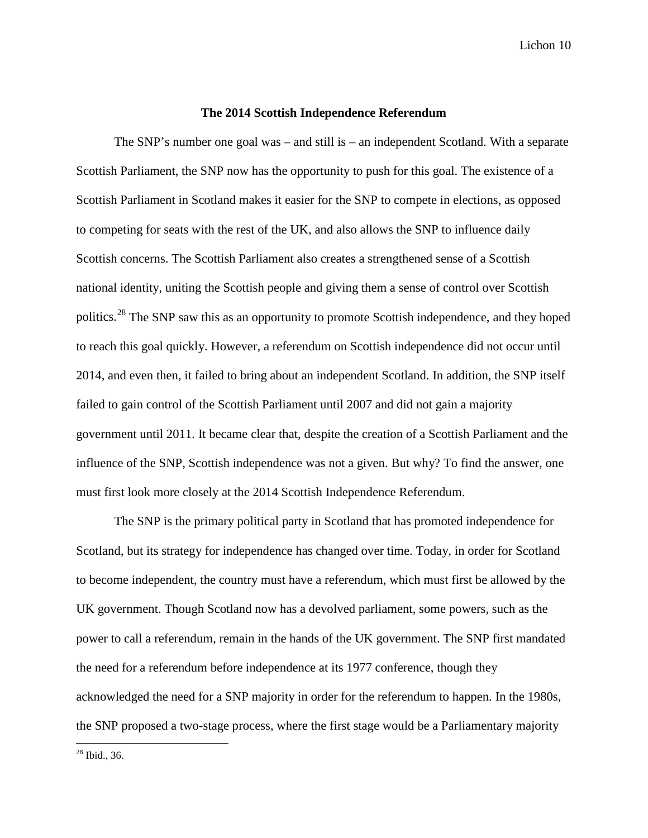#### **The 2014 Scottish Independence Referendum**

The SNP's number one goal was – and still is – an independent Scotland. With a separate Scottish Parliament, the SNP now has the opportunity to push for this goal. The existence of a Scottish Parliament in Scotland makes it easier for the SNP to compete in elections, as opposed to competing for seats with the rest of the UK, and also allows the SNP to influence daily Scottish concerns. The Scottish Parliament also creates a strengthened sense of a Scottish national identity, uniting the Scottish people and giving them a sense of control over Scottish politics.[28](#page-10-0) The SNP saw this as an opportunity to promote Scottish independence, and they hoped to reach this goal quickly. However, a referendum on Scottish independence did not occur until 2014, and even then, it failed to bring about an independent Scotland. In addition, the SNP itself failed to gain control of the Scottish Parliament until 2007 and did not gain a majority government until 2011. It became clear that, despite the creation of a Scottish Parliament and the influence of the SNP, Scottish independence was not a given. But why? To find the answer, one must first look more closely at the 2014 Scottish Independence Referendum.

The SNP is the primary political party in Scotland that has promoted independence for Scotland, but its strategy for independence has changed over time. Today, in order for Scotland to become independent, the country must have a referendum, which must first be allowed by the UK government. Though Scotland now has a devolved parliament, some powers, such as the power to call a referendum, remain in the hands of the UK government. The SNP first mandated the need for a referendum before independence at its 1977 conference, though they acknowledged the need for a SNP majority in order for the referendum to happen. In the 1980s, the SNP proposed a two-stage process, where the first stage would be a Parliamentary majority

<span id="page-10-0"></span>28 Ibid., 36.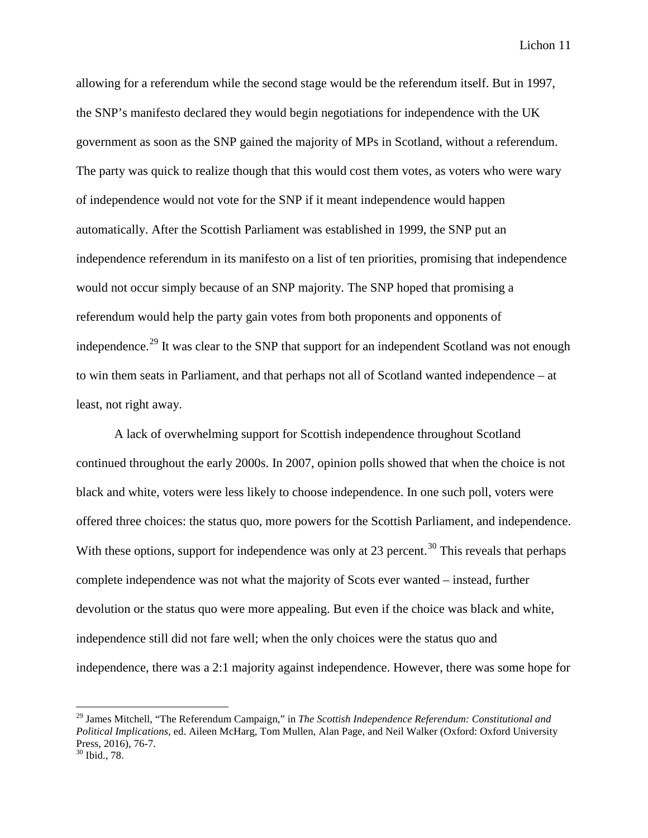allowing for a referendum while the second stage would be the referendum itself. But in 1997, the SNP's manifesto declared they would begin negotiations for independence with the UK government as soon as the SNP gained the majority of MPs in Scotland, without a referendum. The party was quick to realize though that this would cost them votes, as voters who were wary of independence would not vote for the SNP if it meant independence would happen automatically. After the Scottish Parliament was established in 1999, the SNP put an independence referendum in its manifesto on a list of ten priorities, promising that independence would not occur simply because of an SNP majority. The SNP hoped that promising a referendum would help the party gain votes from both proponents and opponents of independence.<sup>[29](#page-11-0)</sup> It was clear to the SNP that support for an independent Scotland was not enough to win them seats in Parliament, and that perhaps not all of Scotland wanted independence – at least, not right away.

A lack of overwhelming support for Scottish independence throughout Scotland continued throughout the early 2000s. In 2007, opinion polls showed that when the choice is not black and white, voters were less likely to choose independence. In one such poll, voters were offered three choices: the status quo, more powers for the Scottish Parliament, and independence. With these options, support for independence was only at 23 percent.<sup>[30](#page-11-1)</sup> This reveals that perhaps complete independence was not what the majority of Scots ever wanted – instead, further devolution or the status quo were more appealing. But even if the choice was black and white, independence still did not fare well; when the only choices were the status quo and independence, there was a 2:1 majority against independence. However, there was some hope for

<span id="page-11-0"></span> <sup>29</sup> James Mitchell, "The Referendum Campaign," in *The Scottish Independence Referendum: Constitutional and Political Implications*, ed. Aileen McHarg, Tom Mullen, Alan Page, and Neil Walker (Oxford: Oxford University Press, 2016), 76-7.<br><sup>30</sup> Ibid., 78.

<span id="page-11-1"></span>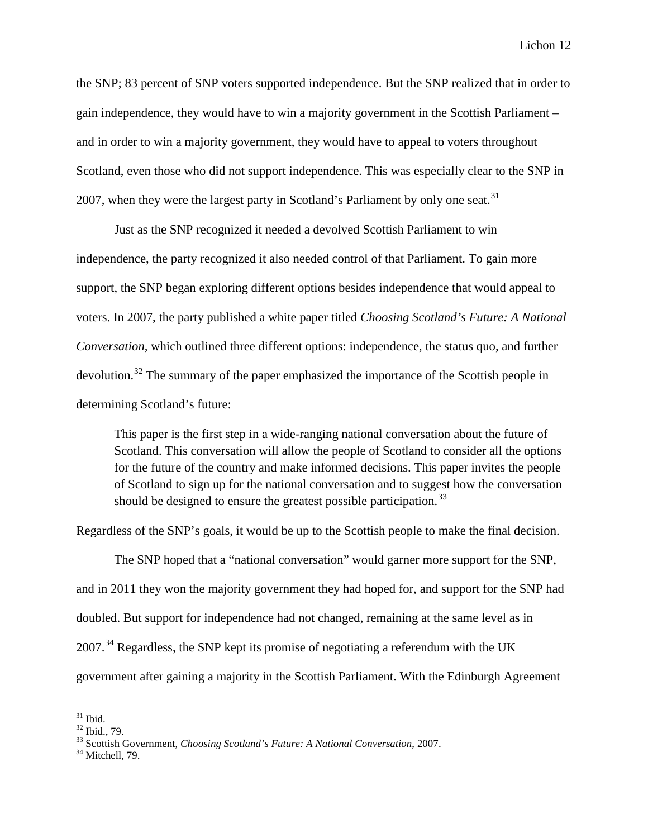the SNP; 83 percent of SNP voters supported independence. But the SNP realized that in order to gain independence, they would have to win a majority government in the Scottish Parliament – and in order to win a majority government, they would have to appeal to voters throughout Scotland, even those who did not support independence. This was especially clear to the SNP in 2007, when they were the largest party in Scotland's Parliament by only one seat.<sup>[31](#page-12-0)</sup>

Just as the SNP recognized it needed a devolved Scottish Parliament to win independence, the party recognized it also needed control of that Parliament. To gain more support, the SNP began exploring different options besides independence that would appeal to voters. In 2007, the party published a white paper titled *Choosing Scotland's Future: A National Conversation,* which outlined three different options: independence, the status quo, and further devolution.<sup>[32](#page-12-1)</sup> The summary of the paper emphasized the importance of the Scottish people in determining Scotland's future:

This paper is the first step in a wide-ranging national conversation about the future of Scotland. This conversation will allow the people of Scotland to consider all the options for the future of the country and make informed decisions. This paper invites the people of Scotland to sign up for the national conversation and to suggest how the conversation should be designed to ensure the greatest possible participation.<sup>[33](#page-12-2)</sup>

Regardless of the SNP's goals, it would be up to the Scottish people to make the final decision.

The SNP hoped that a "national conversation" would garner more support for the SNP, and in 2011 they won the majority government they had hoped for, and support for the SNP had doubled. But support for independence had not changed, remaining at the same level as in  $2007.<sup>34</sup>$  $2007.<sup>34</sup>$  $2007.<sup>34</sup>$  Regardless, the SNP kept its promise of negotiating a referendum with the UK government after gaining a majority in the Scottish Parliament. With the Edinburgh Agreement

<span id="page-12-2"></span>

<span id="page-12-1"></span><span id="page-12-0"></span><sup>&</sup>lt;sup>31</sup> Ibid.<br><sup>32</sup> Ibid., 79.<br><sup>33</sup> Scottish Government, *Choosing Scotland's Future: A National Conversation*, 2007.<br><sup>34</sup> Mitchell, 79.

<span id="page-12-3"></span>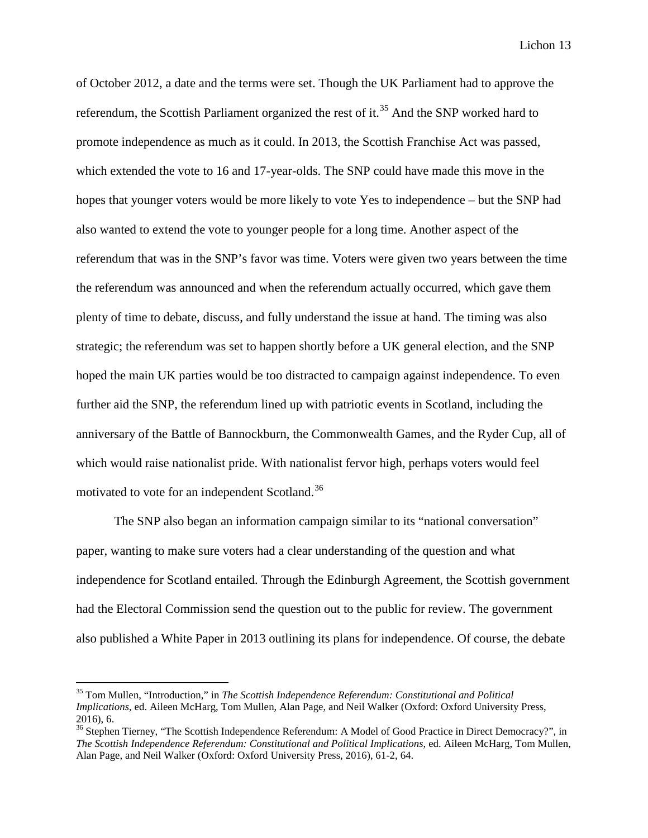of October 2012, a date and the terms were set. Though the UK Parliament had to approve the referendum, the Scottish Parliament organized the rest of it.<sup>[35](#page-13-0)</sup> And the SNP worked hard to promote independence as much as it could. In 2013, the Scottish Franchise Act was passed, which extended the vote to 16 and 17-year-olds. The SNP could have made this move in the hopes that younger voters would be more likely to vote Yes to independence – but the SNP had also wanted to extend the vote to younger people for a long time. Another aspect of the referendum that was in the SNP's favor was time. Voters were given two years between the time the referendum was announced and when the referendum actually occurred, which gave them plenty of time to debate, discuss, and fully understand the issue at hand. The timing was also strategic; the referendum was set to happen shortly before a UK general election, and the SNP hoped the main UK parties would be too distracted to campaign against independence. To even further aid the SNP, the referendum lined up with patriotic events in Scotland, including the anniversary of the Battle of Bannockburn, the Commonwealth Games, and the Ryder Cup, all of which would raise nationalist pride. With nationalist fervor high, perhaps voters would feel motivated to vote for an independent Scotland.[36](#page-13-1)

The SNP also began an information campaign similar to its "national conversation" paper, wanting to make sure voters had a clear understanding of the question and what independence for Scotland entailed. Through the Edinburgh Agreement, the Scottish government had the Electoral Commission send the question out to the public for review. The government also published a White Paper in 2013 outlining its plans for independence. Of course, the debate

<span id="page-13-0"></span> <sup>35</sup> Tom Mullen, "Introduction," in *The Scottish Independence Referendum: Constitutional and Political Implications*, ed. Aileen McHarg, Tom Mullen, Alan Page, and Neil Walker (Oxford: Oxford University Press, 2016), 6.<br><sup>36</sup> Stephen Tierney, "The Scottish Independence Referendum: A Model of Good Practice in Direct Democracy?", in

<span id="page-13-1"></span>*The Scottish Independence Referendum: Constitutional and Political Implications*, ed. Aileen McHarg, Tom Mullen, Alan Page, and Neil Walker (Oxford: Oxford University Press, 2016), 61-2, 64.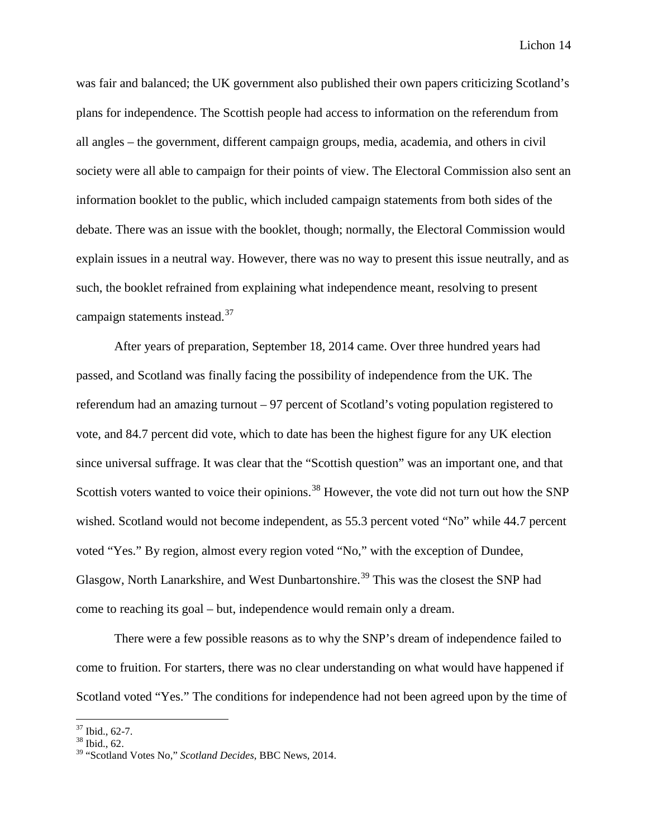was fair and balanced; the UK government also published their own papers criticizing Scotland's plans for independence. The Scottish people had access to information on the referendum from all angles – the government, different campaign groups, media, academia, and others in civil society were all able to campaign for their points of view. The Electoral Commission also sent an information booklet to the public, which included campaign statements from both sides of the debate. There was an issue with the booklet, though; normally, the Electoral Commission would explain issues in a neutral way. However, there was no way to present this issue neutrally, and as such, the booklet refrained from explaining what independence meant, resolving to present campaign statements instead.<sup>[37](#page-14-0)</sup>

After years of preparation, September 18, 2014 came. Over three hundred years had passed, and Scotland was finally facing the possibility of independence from the UK. The referendum had an amazing turnout – 97 percent of Scotland's voting population registered to vote, and 84.7 percent did vote, which to date has been the highest figure for any UK election since universal suffrage. It was clear that the "Scottish question" was an important one, and that Scottish voters wanted to voice their opinions.<sup>[38](#page-14-1)</sup> However, the vote did not turn out how the SNP wished. Scotland would not become independent, as 55.3 percent voted "No" while 44.7 percent voted "Yes." By region, almost every region voted "No," with the exception of Dundee, Glasgow, North Lanarkshire, and West Dunbartonshire.<sup>[39](#page-14-2)</sup> This was the closest the SNP had come to reaching its goal – but, independence would remain only a dream.

There were a few possible reasons as to why the SNP's dream of independence failed to come to fruition. For starters, there was no clear understanding on what would have happened if Scotland voted "Yes." The conditions for independence had not been agreed upon by the time of

<span id="page-14-1"></span><span id="page-14-0"></span> $\frac{37}{38}$  Ibid., 62-7.<br> $\frac{38}{36}$  Ibid., 62.

<span id="page-14-2"></span><sup>39</sup> "Scotland Votes No," *Scotland Decides*, BBC News, 2014.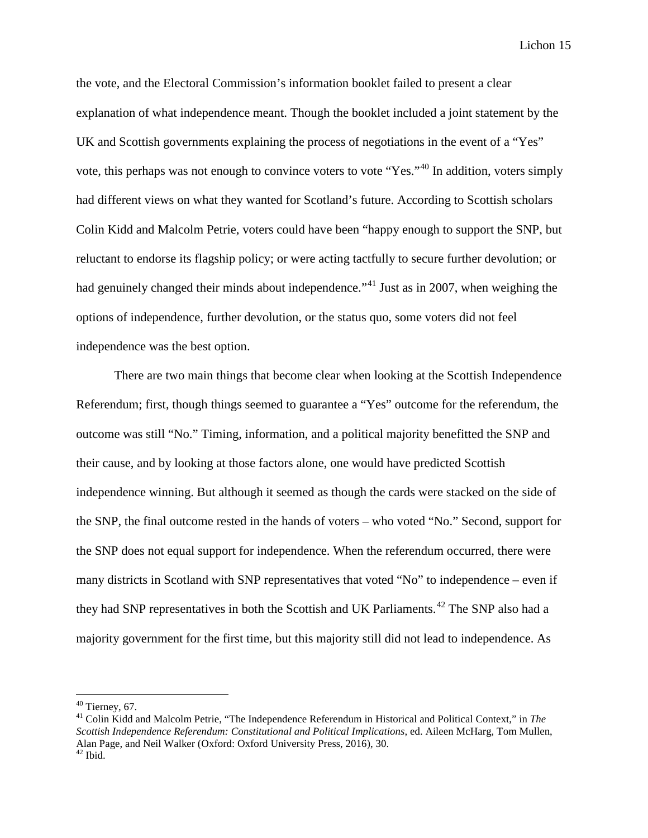the vote, and the Electoral Commission's information booklet failed to present a clear explanation of what independence meant. Though the booklet included a joint statement by the UK and Scottish governments explaining the process of negotiations in the event of a "Yes" vote, this perhaps was not enough to convince voters to vote "Yes."[40](#page-15-0) In addition, voters simply had different views on what they wanted for Scotland's future. According to Scottish scholars Colin Kidd and Malcolm Petrie, voters could have been "happy enough to support the SNP, but reluctant to endorse its flagship policy; or were acting tactfully to secure further devolution; or had genuinely changed their minds about independence.<sup> $1$  1</sup> Just as in 2007, when weighing the options of independence, further devolution, or the status quo, some voters did not feel independence was the best option.

There are two main things that become clear when looking at the Scottish Independence Referendum; first, though things seemed to guarantee a "Yes" outcome for the referendum, the outcome was still "No." Timing, information, and a political majority benefitted the SNP and their cause, and by looking at those factors alone, one would have predicted Scottish independence winning. But although it seemed as though the cards were stacked on the side of the SNP, the final outcome rested in the hands of voters – who voted "No." Second, support for the SNP does not equal support for independence. When the referendum occurred, there were many districts in Scotland with SNP representatives that voted "No" to independence – even if they had SNP representatives in both the Scottish and UK Parliaments.<sup>[42](#page-15-2)</sup> The SNP also had a majority government for the first time, but this majority still did not lead to independence. As

<span id="page-15-2"></span><span id="page-15-1"></span><span id="page-15-0"></span><sup>&</sup>lt;sup>40</sup> Tierney, 67.<br><sup>41</sup> Colin Kidd and Malcolm Petrie, "The Independence Referendum in Historical and Political Context," in *The Scottish Independence Referendum: Constitutional and Political Implications*, ed. Aileen McHarg, Tom Mullen, Alan Page, and Neil Walker (Oxford: Oxford University Press, 2016), 30. <sup>42</sup> Ibid.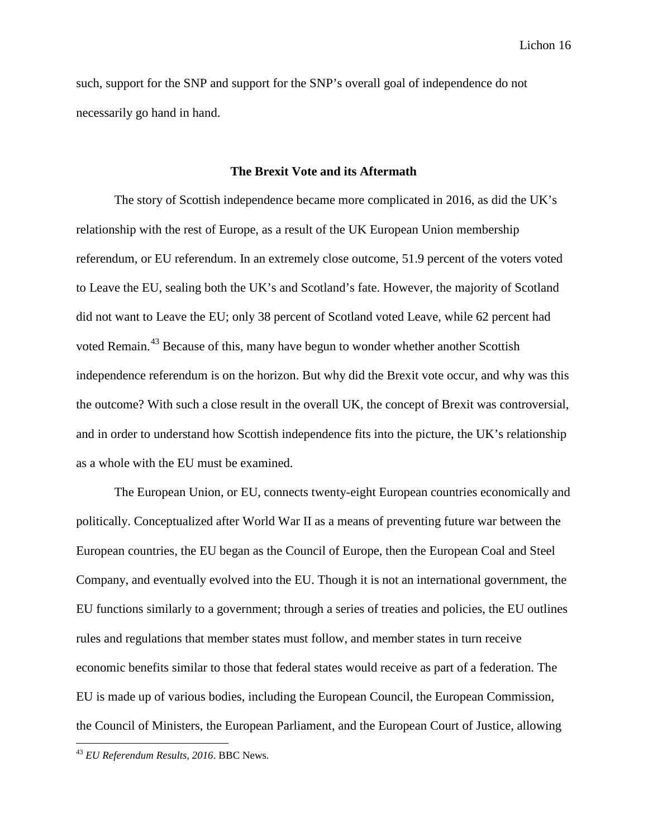such, support for the SNP and support for the SNP's overall goal of independence do not necessarily go hand in hand.

#### **The Brexit Vote and its Aftermath**

The story of Scottish independence became more complicated in 2016, as did the UK's relationship with the rest of Europe, as a result of the UK European Union membership referendum, or EU referendum. In an extremely close outcome, 51.9 percent of the voters voted to Leave the EU, sealing both the UK's and Scotland's fate. However, the majority of Scotland did not want to Leave the EU; only 38 percent of Scotland voted Leave, while 62 percent had voted Remain.<sup>[43](#page-16-0)</sup> Because of this, many have begun to wonder whether another Scottish independence referendum is on the horizon. But why did the Brexit vote occur, and why was this the outcome? With such a close result in the overall UK, the concept of Brexit was controversial, and in order to understand how Scottish independence fits into the picture, the UK's relationship as a whole with the EU must be examined.

The European Union, or EU, connects twenty-eight European countries economically and politically. Conceptualized after World War II as a means of preventing future war between the European countries, the EU began as the Council of Europe, then the European Coal and Steel Company, and eventually evolved into the EU. Though it is not an international government, the EU functions similarly to a government; through a series of treaties and policies, the EU outlines rules and regulations that member states must follow, and member states in turn receive economic benefits similar to those that federal states would receive as part of a federation. The EU is made up of various bodies, including the European Council, the European Commission, the Council of Ministers, the European Parliament, and the European Court of Justice, allowing

<span id="page-16-0"></span> <sup>43</sup> *EU Referendum Results, 2016*. BBC News.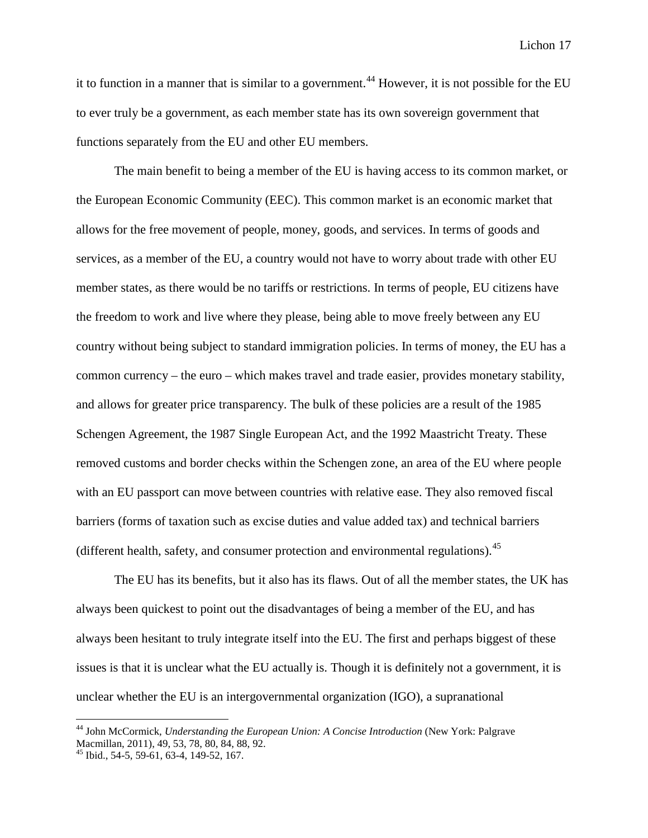it to function in a manner that is similar to a government.<sup>[44](#page-17-0)</sup> However, it is not possible for the EU to ever truly be a government, as each member state has its own sovereign government that functions separately from the EU and other EU members.

The main benefit to being a member of the EU is having access to its common market, or the European Economic Community (EEC). This common market is an economic market that allows for the free movement of people, money, goods, and services. In terms of goods and services, as a member of the EU, a country would not have to worry about trade with other EU member states, as there would be no tariffs or restrictions. In terms of people, EU citizens have the freedom to work and live where they please, being able to move freely between any EU country without being subject to standard immigration policies. In terms of money, the EU has a common currency – the euro – which makes travel and trade easier, provides monetary stability, and allows for greater price transparency. The bulk of these policies are a result of the 1985 Schengen Agreement, the 1987 Single European Act, and the 1992 Maastricht Treaty. These removed customs and border checks within the Schengen zone, an area of the EU where people with an EU passport can move between countries with relative ease. They also removed fiscal barriers (forms of taxation such as excise duties and value added tax) and technical barriers (different health, safety, and consumer protection and environmental regulations).<sup>[45](#page-17-1)</sup>

The EU has its benefits, but it also has its flaws. Out of all the member states, the UK has always been quickest to point out the disadvantages of being a member of the EU, and has always been hesitant to truly integrate itself into the EU. The first and perhaps biggest of these issues is that it is unclear what the EU actually is. Though it is definitely not a government, it is unclear whether the EU is an intergovernmental organization (IGO), a supranational

<span id="page-17-0"></span> <sup>44</sup> John McCormick*, Understanding the European Union: A Concise Introduction* (New York: Palgrave Macmillan, 2011), 49, 53, 78, 80, 84, 88, 92.

<span id="page-17-1"></span> $^{45}$  Ibid., 54-5, 59-61, 63-4, 149-52, 167.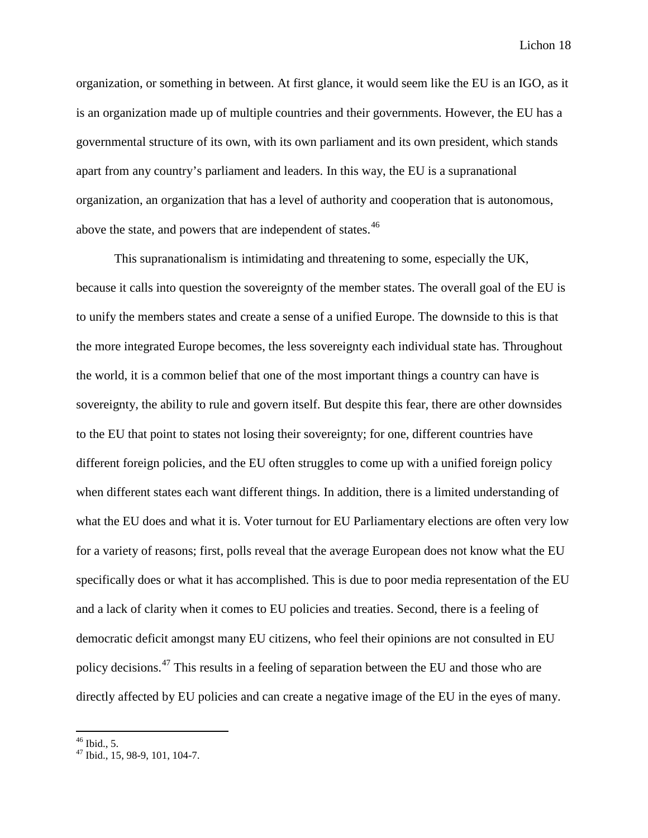organization, or something in between. At first glance, it would seem like the EU is an IGO, as it is an organization made up of multiple countries and their governments. However, the EU has a governmental structure of its own, with its own parliament and its own president, which stands apart from any country's parliament and leaders. In this way, the EU is a supranational organization, an organization that has a level of authority and cooperation that is autonomous, above the state, and powers that are independent of states.<sup>[46](#page-18-0)</sup>

This supranationalism is intimidating and threatening to some, especially the UK, because it calls into question the sovereignty of the member states. The overall goal of the EU is to unify the members states and create a sense of a unified Europe. The downside to this is that the more integrated Europe becomes, the less sovereignty each individual state has. Throughout the world, it is a common belief that one of the most important things a country can have is sovereignty, the ability to rule and govern itself. But despite this fear, there are other downsides to the EU that point to states not losing their sovereignty; for one, different countries have different foreign policies, and the EU often struggles to come up with a unified foreign policy when different states each want different things. In addition, there is a limited understanding of what the EU does and what it is. Voter turnout for EU Parliamentary elections are often very low for a variety of reasons; first, polls reveal that the average European does not know what the EU specifically does or what it has accomplished. This is due to poor media representation of the EU and a lack of clarity when it comes to EU policies and treaties. Second, there is a feeling of democratic deficit amongst many EU citizens, who feel their opinions are not consulted in EU policy decisions.<sup>[47](#page-18-1)</sup> This results in a feeling of separation between the EU and those who are directly affected by EU policies and can create a negative image of the EU in the eyes of many.

<span id="page-18-1"></span><span id="page-18-0"></span> $^{46}$  Ibid., 5.<br> $^{47}$  Ibid., 15, 98-9, 101, 104-7.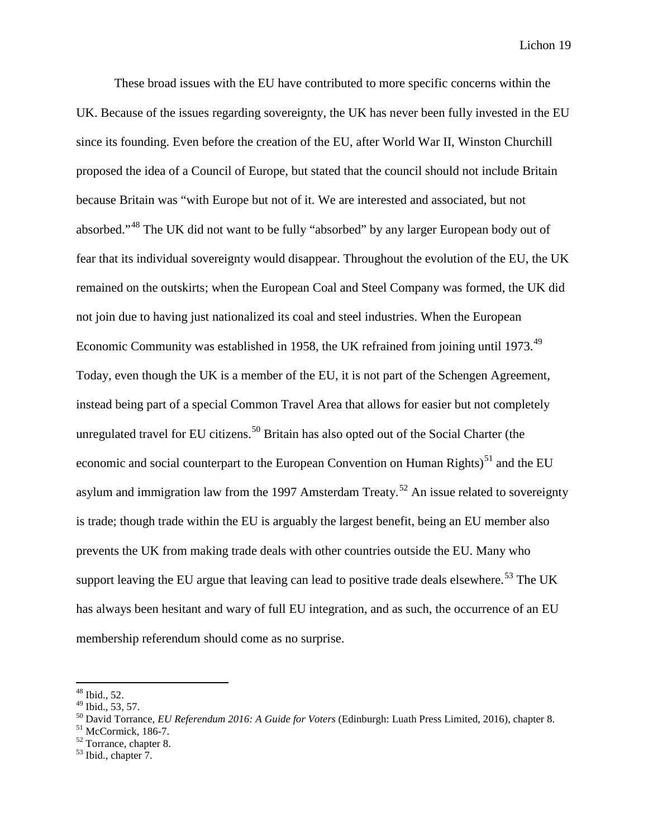These broad issues with the EU have contributed to more specific concerns within the UK. Because of the issues regarding sovereignty, the UK has never been fully invested in the EU since its founding. Even before the creation of the EU, after World War II, Winston Churchill proposed the idea of a Council of Europe, but stated that the council should not include Britain because Britain was "with Europe but not of it. We are interested and associated, but not absorbed."[48](#page-19-0) The UK did not want to be fully "absorbed" by any larger European body out of fear that its individual sovereignty would disappear. Throughout the evolution of the EU, the UK remained on the outskirts; when the European Coal and Steel Company was formed, the UK did not join due to having just nationalized its coal and steel industries. When the European Economic Community was established in 1958, the UK refrained from joining until 1973.<sup>[49](#page-19-1)</sup> Today, even though the UK is a member of the EU, it is not part of the Schengen Agreement, instead being part of a special Common Travel Area that allows for easier but not completely unregulated travel for EU citizens.<sup>[50](#page-19-2)</sup> Britain has also opted out of the Social Charter (the economic and social counterpart to the European Convention on Human Rights)<sup>[51](#page-19-3)</sup> and the EU asylum and immigration law from the 1997 Amsterdam Treaty.<sup>[52](#page-19-4)</sup> An issue related to sovereignty is trade; though trade within the EU is arguably the largest benefit, being an EU member also prevents the UK from making trade deals with other countries outside the EU. Many who support leaving the EU argue that leaving can lead to positive trade deals elsewhere.<sup>[53](#page-19-5)</sup> The UK has always been hesitant and wary of full EU integration, and as such, the occurrence of an EU membership referendum should come as no surprise.

<span id="page-19-0"></span> $^{48}$  Ibid., 52.<br> $^{49}$  Ibid., 53, 57.

<span id="page-19-2"></span><span id="page-19-1"></span><sup>&</sup>lt;sup>50</sup> David Torrance, *EU Referendum 2016: A Guide for Voters* (Edinburgh: Luath Press Limited, 2016), chapter 8.<br><sup>51</sup> McCormick, 186-7.<br><sup>52</sup> Torrance, chapter 8.<br><sup>53</sup> Ibid., chapter 7.

<span id="page-19-4"></span><span id="page-19-3"></span>

<span id="page-19-5"></span>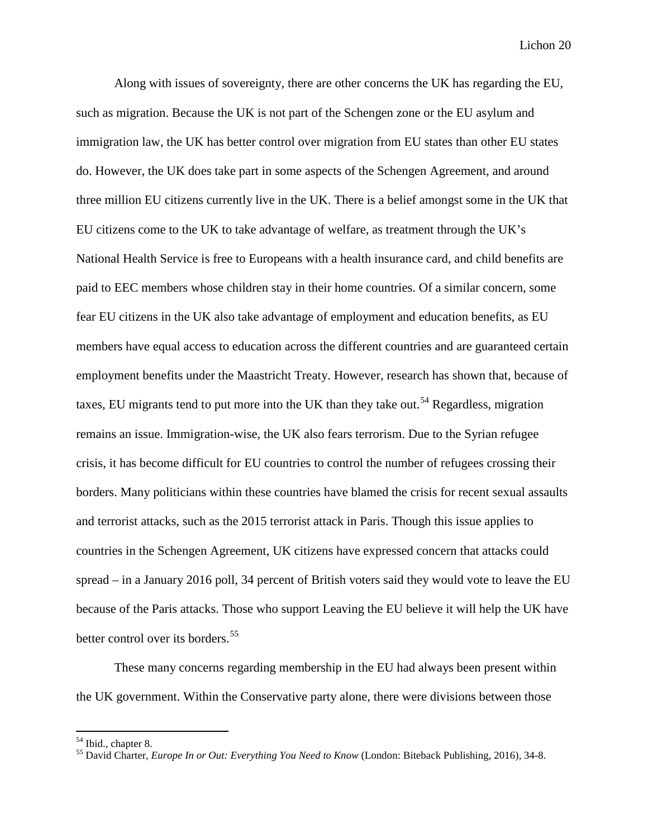Along with issues of sovereignty, there are other concerns the UK has regarding the EU, such as migration. Because the UK is not part of the Schengen zone or the EU asylum and immigration law, the UK has better control over migration from EU states than other EU states do. However, the UK does take part in some aspects of the Schengen Agreement, and around three million EU citizens currently live in the UK. There is a belief amongst some in the UK that EU citizens come to the UK to take advantage of welfare, as treatment through the UK's National Health Service is free to Europeans with a health insurance card, and child benefits are paid to EEC members whose children stay in their home countries. Of a similar concern, some fear EU citizens in the UK also take advantage of employment and education benefits, as EU members have equal access to education across the different countries and are guaranteed certain employment benefits under the Maastricht Treaty. However, research has shown that, because of taxes, EU migrants tend to put more into the UK than they take out.<sup>[54](#page-20-0)</sup> Regardless, migration remains an issue. Immigration-wise, the UK also fears terrorism. Due to the Syrian refugee crisis, it has become difficult for EU countries to control the number of refugees crossing their borders. Many politicians within these countries have blamed the crisis for recent sexual assaults and terrorist attacks, such as the 2015 terrorist attack in Paris. Though this issue applies to countries in the Schengen Agreement, UK citizens have expressed concern that attacks could spread – in a January 2016 poll, 34 percent of British voters said they would vote to leave the EU because of the Paris attacks. Those who support Leaving the EU believe it will help the UK have better control over its borders.<sup>[55](#page-20-1)</sup>

These many concerns regarding membership in the EU had always been present within the UK government. Within the Conservative party alone, there were divisions between those

<span id="page-20-1"></span><span id="page-20-0"></span><sup>54</sup> Ibid., chapter 8. <sup>55</sup> David Charter, *Europe In or Out: Everything You Need to Know* (London: Biteback Publishing, 2016), 34-8.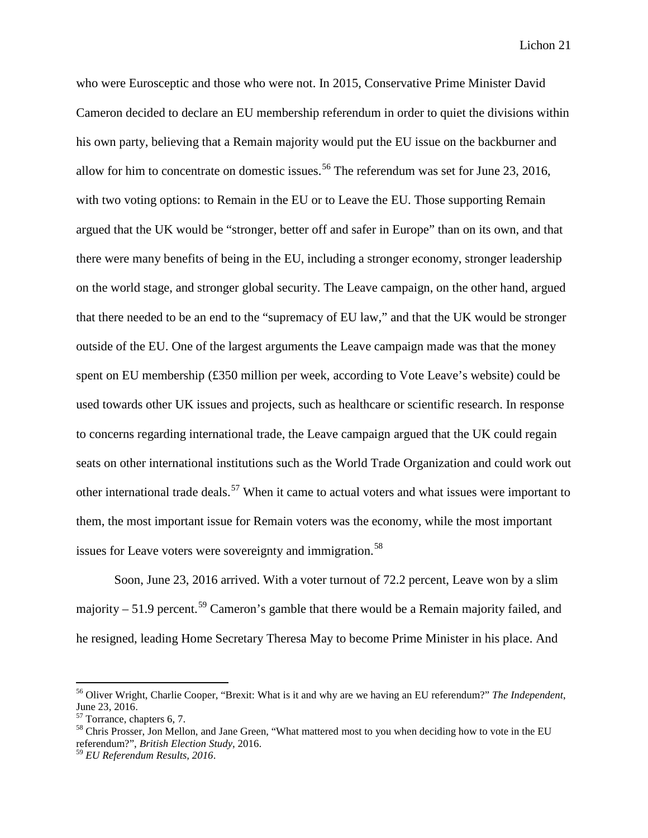who were Eurosceptic and those who were not. In 2015, Conservative Prime Minister David Cameron decided to declare an EU membership referendum in order to quiet the divisions within his own party, believing that a Remain majority would put the EU issue on the backburner and allow for him to concentrate on domestic issues.<sup>[56](#page-21-0)</sup> The referendum was set for June 23, 2016, with two voting options: to Remain in the EU or to Leave the EU. Those supporting Remain argued that the UK would be "stronger, better off and safer in Europe" than on its own, and that there were many benefits of being in the EU, including a stronger economy, stronger leadership on the world stage, and stronger global security. The Leave campaign, on the other hand, argued that there needed to be an end to the "supremacy of EU law," and that the UK would be stronger outside of the EU. One of the largest arguments the Leave campaign made was that the money spent on EU membership (£350 million per week, according to Vote Leave's website) could be used towards other UK issues and projects, such as healthcare or scientific research. In response to concerns regarding international trade, the Leave campaign argued that the UK could regain seats on other international institutions such as the World Trade Organization and could work out other international trade deals.<sup>[57](#page-21-1)</sup> When it came to actual voters and what issues were important to them, the most important issue for Remain voters was the economy, while the most important issues for Leave voters were sovereignty and immigration.<sup>[58](#page-21-2)</sup>

Soon, June 23, 2016 arrived. With a voter turnout of 72.2 percent, Leave won by a slim majority – 51.9 percent.<sup>[59](#page-21-3)</sup> Cameron's gamble that there would be a Remain majority failed, and he resigned, leading Home Secretary Theresa May to become Prime Minister in his place. And

<span id="page-21-0"></span> <sup>56</sup> Oliver Wright, Charlie Cooper, "Brexit: What is it and why are we having an EU referendum?" *The Independent*, June 23, 2016.<br><sup>57</sup> Torrance, chapters 6, 7.

<span id="page-21-1"></span>

<span id="page-21-2"></span><sup>&</sup>lt;sup>58</sup> Chris Prosser, Jon Mellon, and Jane Green, "What mattered most to you when deciding how to vote in the EU referendum?", *British Election Study*, 2016.

<span id="page-21-3"></span><sup>59</sup> *EU Referendum Results, 2016*.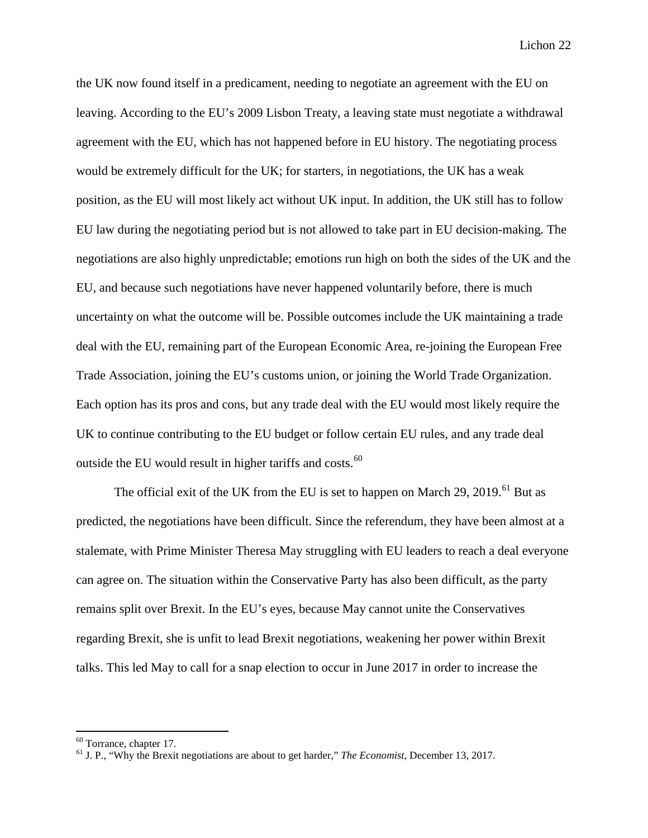the UK now found itself in a predicament, needing to negotiate an agreement with the EU on leaving. According to the EU's 2009 Lisbon Treaty, a leaving state must negotiate a withdrawal agreement with the EU, which has not happened before in EU history. The negotiating process would be extremely difficult for the UK; for starters, in negotiations, the UK has a weak position, as the EU will most likely act without UK input. In addition, the UK still has to follow EU law during the negotiating period but is not allowed to take part in EU decision-making. The negotiations are also highly unpredictable; emotions run high on both the sides of the UK and the EU, and because such negotiations have never happened voluntarily before, there is much uncertainty on what the outcome will be. Possible outcomes include the UK maintaining a trade deal with the EU, remaining part of the European Economic Area, re-joining the European Free Trade Association, joining the EU's customs union, or joining the World Trade Organization. Each option has its pros and cons, but any trade deal with the EU would most likely require the UK to continue contributing to the EU budget or follow certain EU rules, and any trade deal outside the EU would result in higher tariffs and costs.<sup>[60](#page-22-0)</sup>

The official exit of the UK from the EU is set to happen on March 29, 2019.<sup>[61](#page-22-1)</sup> But as predicted, the negotiations have been difficult. Since the referendum, they have been almost at a stalemate, with Prime Minister Theresa May struggling with EU leaders to reach a deal everyone can agree on. The situation within the Conservative Party has also been difficult, as the party remains split over Brexit. In the EU's eyes, because May cannot unite the Conservatives regarding Brexit, she is unfit to lead Brexit negotiations, weakening her power within Brexit talks. This led May to call for a snap election to occur in June 2017 in order to increase the

<span id="page-22-1"></span><span id="page-22-0"></span><sup>60</sup> Torrance, chapter 17. <sup>61</sup> J. P., "Why the Brexit negotiations are about to get harder," *The Economist*, December 13, 2017.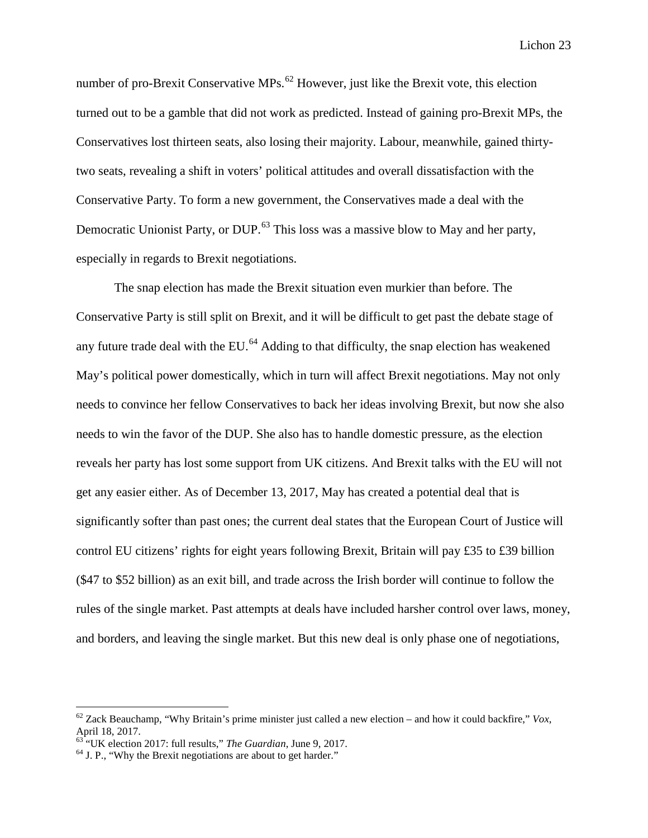number of pro-Brexit Conservative MPs.<sup>[62](#page-23-0)</sup> However, just like the Brexit vote, this election turned out to be a gamble that did not work as predicted. Instead of gaining pro-Brexit MPs, the Conservatives lost thirteen seats, also losing their majority. Labour, meanwhile, gained thirtytwo seats, revealing a shift in voters' political attitudes and overall dissatisfaction with the Conservative Party. To form a new government, the Conservatives made a deal with the Democratic Unionist Party, or DUP.<sup>[63](#page-23-1)</sup> This loss was a massive blow to May and her party, especially in regards to Brexit negotiations.

The snap election has made the Brexit situation even murkier than before. The Conservative Party is still split on Brexit, and it will be difficult to get past the debate stage of any future trade deal with the EU. $<sup>64</sup>$  $<sup>64</sup>$  $<sup>64</sup>$  Adding to that difficulty, the snap election has weakened</sup> May's political power domestically, which in turn will affect Brexit negotiations. May not only needs to convince her fellow Conservatives to back her ideas involving Brexit, but now she also needs to win the favor of the DUP. She also has to handle domestic pressure, as the election reveals her party has lost some support from UK citizens. And Brexit talks with the EU will not get any easier either. As of December 13, 2017, May has created a potential deal that is significantly softer than past ones; the current deal states that the European Court of Justice will control EU citizens' rights for eight years following Brexit, Britain will pay £35 to £39 billion (\$47 to \$52 billion) as an exit bill, and trade across the Irish border will continue to follow the rules of the single market. Past attempts at deals have included harsher control over laws, money, and borders, and leaving the single market. But this new deal is only phase one of negotiations,

<span id="page-23-0"></span> $62$  Zack Beauchamp, "Why Britain's prime minister just called a new election – and how it could backfire," *Vox*, April 18, 2017.<br><sup>63</sup> "UK election 2017: full results," *The Guardian*, June 9, 2017.

<span id="page-23-1"></span>

<span id="page-23-2"></span><sup>&</sup>lt;sup>64</sup> J. P., "Why the Brexit negotiations are about to get harder."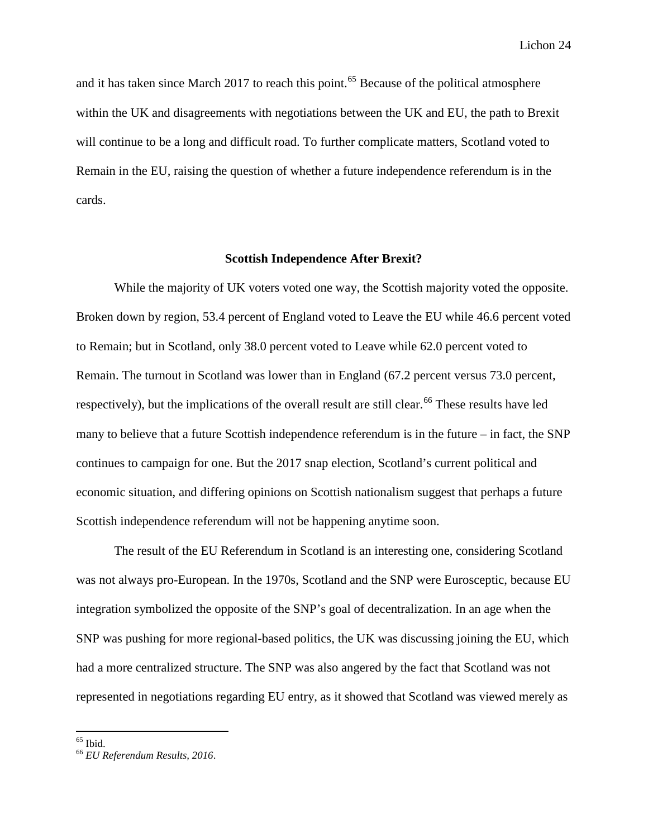and it has taken since March 2017 to reach this point.<sup>[65](#page-24-0)</sup> Because of the political atmosphere within the UK and disagreements with negotiations between the UK and EU, the path to Brexit will continue to be a long and difficult road. To further complicate matters, Scotland voted to Remain in the EU, raising the question of whether a future independence referendum is in the cards.

#### **Scottish Independence After Brexit?**

While the majority of UK voters voted one way, the Scottish majority voted the opposite. Broken down by region, 53.4 percent of England voted to Leave the EU while 46.6 percent voted to Remain; but in Scotland, only 38.0 percent voted to Leave while 62.0 percent voted to Remain. The turnout in Scotland was lower than in England (67.2 percent versus 73.0 percent, respectively), but the implications of the overall result are still clear.<sup>[66](#page-24-1)</sup> These results have led many to believe that a future Scottish independence referendum is in the future – in fact, the SNP continues to campaign for one. But the 2017 snap election, Scotland's current political and economic situation, and differing opinions on Scottish nationalism suggest that perhaps a future Scottish independence referendum will not be happening anytime soon.

The result of the EU Referendum in Scotland is an interesting one, considering Scotland was not always pro-European. In the 1970s, Scotland and the SNP were Eurosceptic, because EU integration symbolized the opposite of the SNP's goal of decentralization. In an age when the SNP was pushing for more regional-based politics, the UK was discussing joining the EU, which had a more centralized structure. The SNP was also angered by the fact that Scotland was not represented in negotiations regarding EU entry, as it showed that Scotland was viewed merely as

<span id="page-24-1"></span><span id="page-24-0"></span><sup>65</sup> Ibid. <sup>66</sup> *EU Referendum Results, 2016*.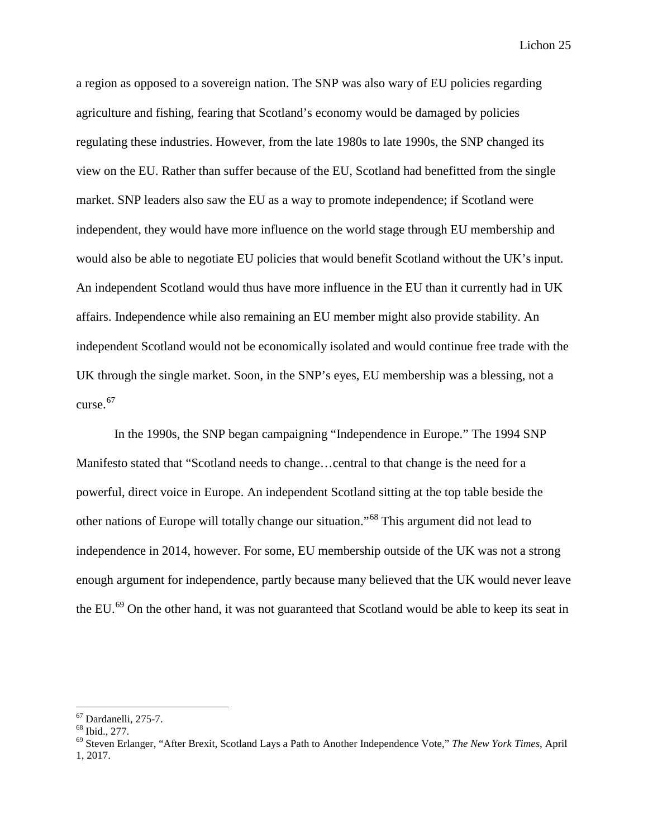a region as opposed to a sovereign nation. The SNP was also wary of EU policies regarding agriculture and fishing, fearing that Scotland's economy would be damaged by policies regulating these industries. However, from the late 1980s to late 1990s, the SNP changed its view on the EU. Rather than suffer because of the EU, Scotland had benefitted from the single market. SNP leaders also saw the EU as a way to promote independence; if Scotland were independent, they would have more influence on the world stage through EU membership and would also be able to negotiate EU policies that would benefit Scotland without the UK's input. An independent Scotland would thus have more influence in the EU than it currently had in UK affairs. Independence while also remaining an EU member might also provide stability. An independent Scotland would not be economically isolated and would continue free trade with the UK through the single market. Soon, in the SNP's eyes, EU membership was a blessing, not a curse. [67](#page-25-0)

In the 1990s, the SNP began campaigning "Independence in Europe." The 1994 SNP Manifesto stated that "Scotland needs to change…central to that change is the need for a powerful, direct voice in Europe. An independent Scotland sitting at the top table beside the other nations of Europe will totally change our situation."[68](#page-25-1) This argument did not lead to independence in 2014, however. For some, EU membership outside of the UK was not a strong enough argument for independence, partly because many believed that the UK would never leave the EU.<sup>[69](#page-25-2)</sup> On the other hand, it was not guaranteed that Scotland would be able to keep its seat in

<span id="page-25-2"></span><span id="page-25-1"></span>

<span id="page-25-0"></span><sup>67</sup> Dardanelli, 275-7. <sup>68</sup> Ibid., 277. <sup>69</sup> Steven Erlanger, "After Brexit, Scotland Lays a Path to Another Independence Vote," *The New York Times*, April 1, 2017.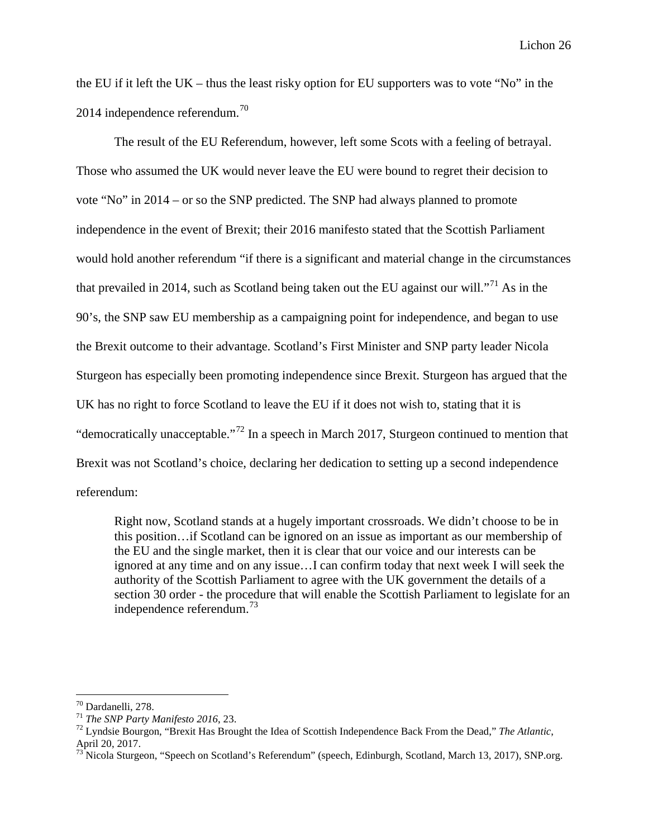the EU if it left the UK – thus the least risky option for EU supporters was to vote "No" in the 2014 independence referendum. $^{70}$  $^{70}$  $^{70}$ 

The result of the EU Referendum, however, left some Scots with a feeling of betrayal. Those who assumed the UK would never leave the EU were bound to regret their decision to vote "No" in 2014 – or so the SNP predicted. The SNP had always planned to promote independence in the event of Brexit; their 2016 manifesto stated that the Scottish Parliament would hold another referendum "if there is a significant and material change in the circumstances that prevailed in 2014, such as Scotland being taken out the EU against our will."<sup>[71](#page-26-1)</sup> As in the 90's, the SNP saw EU membership as a campaigning point for independence, and began to use the Brexit outcome to their advantage. Scotland's First Minister and SNP party leader Nicola Sturgeon has especially been promoting independence since Brexit. Sturgeon has argued that the UK has no right to force Scotland to leave the EU if it does not wish to, stating that it is "democratically unacceptable."[72](#page-26-2) In a speech in March 2017, Sturgeon continued to mention that Brexit was not Scotland's choice, declaring her dedication to setting up a second independence referendum:

Right now, Scotland stands at a hugely important crossroads. We didn't choose to be in this position…if Scotland can be ignored on an issue as important as our membership of the EU and the single market, then it is clear that our voice and our interests can be ignored at any time and on any issue…I can confirm today that next week I will seek the authority of the Scottish Parliament to agree with the UK government the details of a section 30 order - the procedure that will enable the Scottish Parliament to legislate for an independence referendum. [73](#page-26-3)

<span id="page-26-2"></span>

<span id="page-26-1"></span><span id="page-26-0"></span><sup>70</sup> Dardanelli, 278. <sup>71</sup> *The SNP Party Manifesto 2016*, 23. <sup>72</sup> Lyndsie Bourgon, "Brexit Has Brought the Idea of Scottish Independence Back From the Dead," *The Atlantic*, April 20, 2017.

<span id="page-26-3"></span><sup>&</sup>lt;sup>73</sup> Nicola Sturgeon, "Speech on Scotland's Referendum" (speech, Edinburgh, Scotland, March 13, 2017), SNP.org.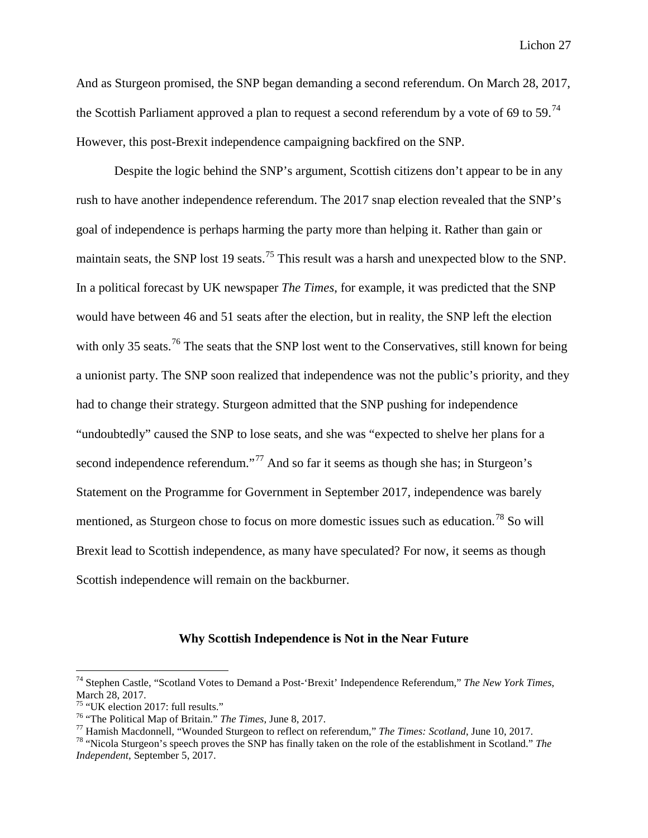And as Sturgeon promised, the SNP began demanding a second referendum. On March 28, 2017, the Scottish Parliament approved a plan to request a second referendum by a vote of 69 to 59.<sup>[74](#page-27-0)</sup> However, this post-Brexit independence campaigning backfired on the SNP.

Despite the logic behind the SNP's argument, Scottish citizens don't appear to be in any rush to have another independence referendum. The 2017 snap election revealed that the SNP's goal of independence is perhaps harming the party more than helping it. Rather than gain or maintain seats, the SNP lost 19 seats.<sup>[75](#page-27-1)</sup> This result was a harsh and unexpected blow to the SNP. In a political forecast by UK newspaper *The Times*, for example, it was predicted that the SNP would have between 46 and 51 seats after the election, but in reality, the SNP left the election with only 35 seats.<sup>[76](#page-27-2)</sup> The seats that the SNP lost went to the Conservatives, still known for being a unionist party. The SNP soon realized that independence was not the public's priority, and they had to change their strategy. Sturgeon admitted that the SNP pushing for independence "undoubtedly" caused the SNP to lose seats, and she was "expected to shelve her plans for a second independence referendum."<sup>[77](#page-27-3)</sup> And so far it seems as though she has; in Sturgeon's Statement on the Programme for Government in September 2017, independence was barely mentioned, as Sturgeon chose to focus on more domestic issues such as education.<sup>[78](#page-27-4)</sup> So will Brexit lead to Scottish independence, as many have speculated? For now, it seems as though Scottish independence will remain on the backburner.

#### **Why Scottish Independence is Not in the Near Future**

<span id="page-27-0"></span> <sup>74</sup> Stephen Castle, "Scotland Votes to Demand a Post-'Brexit' Independence Referendum," *The New York Times*, March 28, 2017.<br><sup>75</sup> "UK election 2017: full results."

<span id="page-27-4"></span><span id="page-27-3"></span>

<span id="page-27-2"></span><span id="page-27-1"></span><sup>&</sup>lt;sup>76</sup> "The Political Map of Britain." *The Times*, June 8, 2017.<br><sup>77</sup> Hamish Macdonnell, "Wounded Sturgeon to reflect on referendum," *The Times: Scotland*, June 10, 2017.<br><sup>78</sup> "Nicola Sturgeon's speech proves the SNP has *Independent*, September 5, 2017.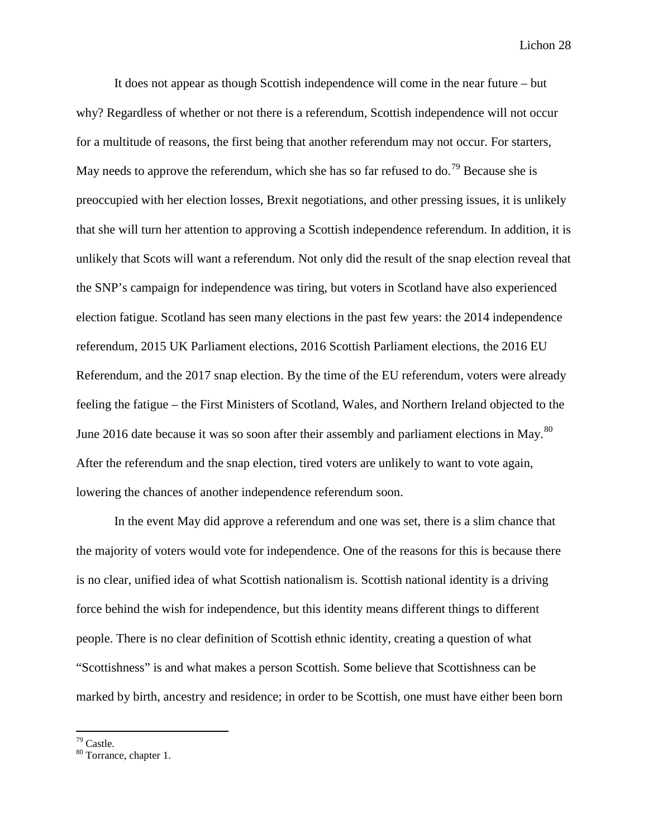It does not appear as though Scottish independence will come in the near future – but why? Regardless of whether or not there is a referendum, Scottish independence will not occur for a multitude of reasons, the first being that another referendum may not occur. For starters, May needs to approve the referendum, which she has so far refused to do.<sup>[79](#page-28-0)</sup> Because she is preoccupied with her election losses, Brexit negotiations, and other pressing issues, it is unlikely that she will turn her attention to approving a Scottish independence referendum. In addition, it is unlikely that Scots will want a referendum. Not only did the result of the snap election reveal that the SNP's campaign for independence was tiring, but voters in Scotland have also experienced election fatigue. Scotland has seen many elections in the past few years: the 2014 independence referendum, 2015 UK Parliament elections, 2016 Scottish Parliament elections, the 2016 EU Referendum, and the 2017 snap election. By the time of the EU referendum, voters were already feeling the fatigue – the First Ministers of Scotland, Wales, and Northern Ireland objected to the June 2016 date because it was so soon after their assembly and parliament elections in May.<sup>[80](#page-28-1)</sup> After the referendum and the snap election, tired voters are unlikely to want to vote again, lowering the chances of another independence referendum soon.

In the event May did approve a referendum and one was set, there is a slim chance that the majority of voters would vote for independence. One of the reasons for this is because there is no clear, unified idea of what Scottish nationalism is. Scottish national identity is a driving force behind the wish for independence, but this identity means different things to different people. There is no clear definition of Scottish ethnic identity, creating a question of what "Scottishness" is and what makes a person Scottish. Some believe that Scottishness can be marked by birth, ancestry and residence; in order to be Scottish, one must have either been born

<span id="page-28-1"></span><span id="page-28-0"></span> $^{79}$  Castle.<br> $^{80}$  Torrance, chapter 1.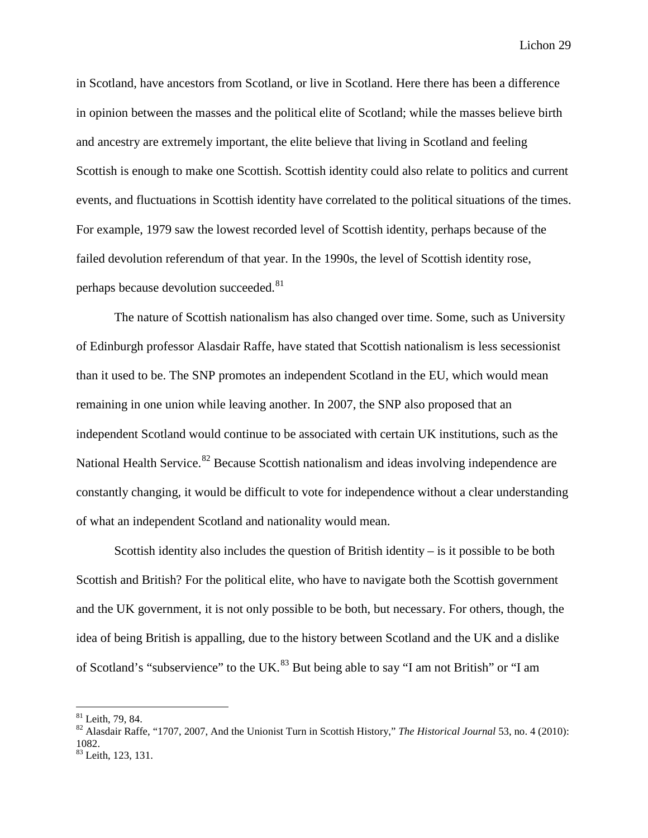in Scotland, have ancestors from Scotland, or live in Scotland. Here there has been a difference in opinion between the masses and the political elite of Scotland; while the masses believe birth and ancestry are extremely important, the elite believe that living in Scotland and feeling Scottish is enough to make one Scottish. Scottish identity could also relate to politics and current events, and fluctuations in Scottish identity have correlated to the political situations of the times. For example, 1979 saw the lowest recorded level of Scottish identity, perhaps because of the failed devolution referendum of that year. In the 1990s, the level of Scottish identity rose, perhaps because devolution succeeded. <sup>[81](#page-29-0)</sup>

The nature of Scottish nationalism has also changed over time. Some, such as University of Edinburgh professor Alasdair Raffe, have stated that Scottish nationalism is less secessionist than it used to be. The SNP promotes an independent Scotland in the EU, which would mean remaining in one union while leaving another. In 2007, the SNP also proposed that an independent Scotland would continue to be associated with certain UK institutions, such as the National Health Service.<sup>[82](#page-29-1)</sup> Because Scottish nationalism and ideas involving independence are constantly changing, it would be difficult to vote for independence without a clear understanding of what an independent Scotland and nationality would mean.

Scottish identity also includes the question of British identity  $-$  is it possible to be both Scottish and British? For the political elite, who have to navigate both the Scottish government and the UK government, it is not only possible to be both, but necessary. For others, though, the idea of being British is appalling, due to the history between Scotland and the UK and a dislike of Scotland's "subservience" to the UK.<sup>[83](#page-29-2)</sup> But being able to say "I am not British" or "I am

<span id="page-29-1"></span><span id="page-29-0"></span><sup>&</sup>lt;sup>81</sup> Leith, 79, 84.<br><sup>82</sup> Alasdair Raffe, "1707, 2007, And the Unionist Turn in Scottish History," *The Historical Journal* 53, no. 4 (2010): 1082.

<span id="page-29-2"></span><sup>&</sup>lt;sup>83</sup> Leith, 123, 131.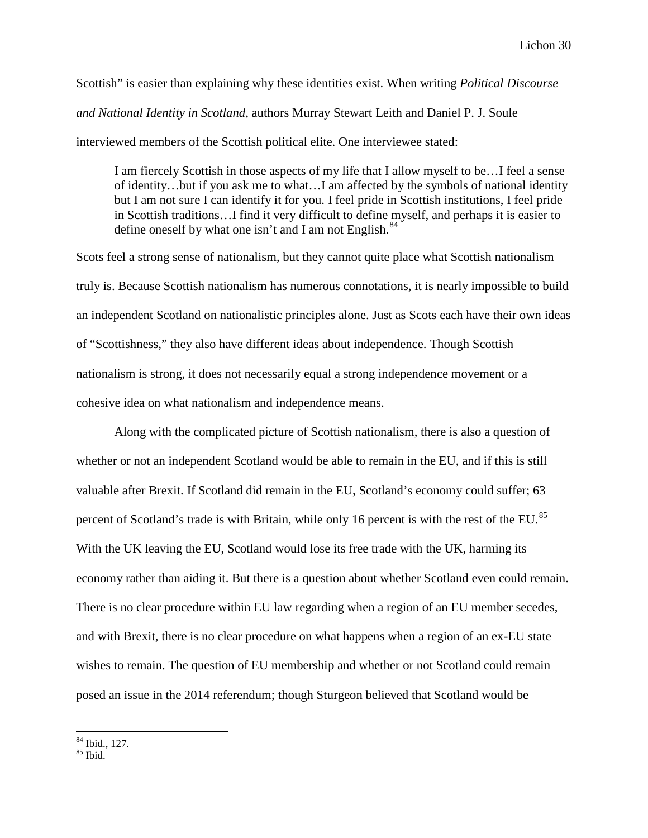Scottish" is easier than explaining why these identities exist. When writing *Political Discourse and National Identity in Scotland,* authors Murray Stewart Leith and Daniel P. J. Soule interviewed members of the Scottish political elite. One interviewee stated:

I am fiercely Scottish in those aspects of my life that I allow myself to be…I feel a sense of identity…but if you ask me to what…I am affected by the symbols of national identity but I am not sure I can identify it for you. I feel pride in Scottish institutions, I feel pride in Scottish traditions…I find it very difficult to define myself, and perhaps it is easier to define oneself by what one isn't and I am not English. $^{84}$  $^{84}$  $^{84}$ 

Scots feel a strong sense of nationalism, but they cannot quite place what Scottish nationalism truly is. Because Scottish nationalism has numerous connotations, it is nearly impossible to build an independent Scotland on nationalistic principles alone. Just as Scots each have their own ideas of "Scottishness," they also have different ideas about independence. Though Scottish nationalism is strong, it does not necessarily equal a strong independence movement or a cohesive idea on what nationalism and independence means.

Along with the complicated picture of Scottish nationalism, there is also a question of whether or not an independent Scotland would be able to remain in the EU, and if this is still valuable after Brexit. If Scotland did remain in the EU, Scotland's economy could suffer; 63 percent of Scotland's trade is with Britain, while only 16 percent is with the rest of the EU.<sup>[85](#page-30-1)</sup> With the UK leaving the EU, Scotland would lose its free trade with the UK, harming its economy rather than aiding it. But there is a question about whether Scotland even could remain. There is no clear procedure within EU law regarding when a region of an EU member secedes, and with Brexit, there is no clear procedure on what happens when a region of an ex-EU state wishes to remain. The question of EU membership and whether or not Scotland could remain posed an issue in the 2014 referendum; though Sturgeon believed that Scotland would be

<span id="page-30-0"></span> $\frac{84}{85}$  Ibid., 127.

<span id="page-30-1"></span>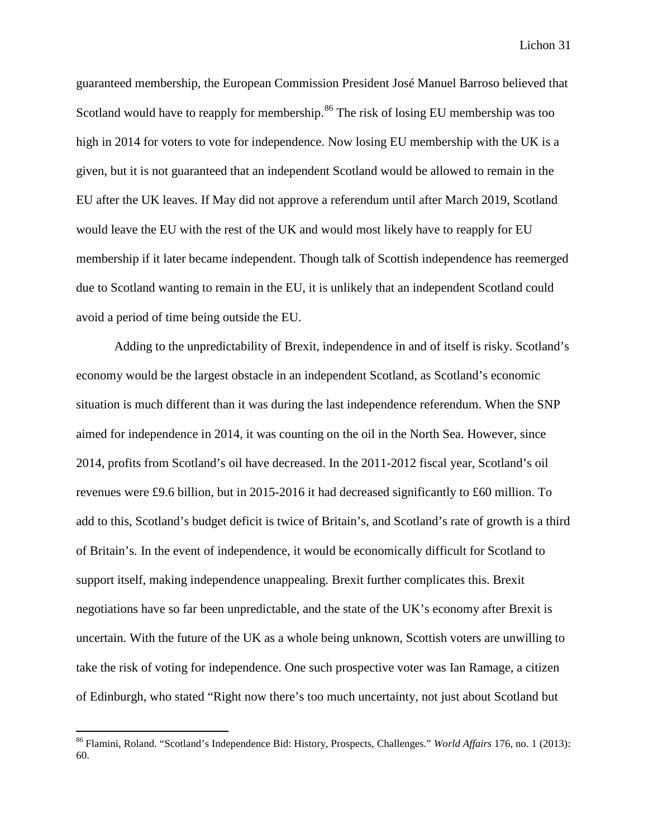guaranteed membership, the European Commission President José Manuel Barroso believed that Scotland would have to reapply for membership.<sup>[86](#page-31-0)</sup> The risk of losing EU membership was too high in 2014 for voters to vote for independence. Now losing EU membership with the UK is a given, but it is not guaranteed that an independent Scotland would be allowed to remain in the EU after the UK leaves. If May did not approve a referendum until after March 2019, Scotland would leave the EU with the rest of the UK and would most likely have to reapply for EU membership if it later became independent. Though talk of Scottish independence has reemerged due to Scotland wanting to remain in the EU, it is unlikely that an independent Scotland could avoid a period of time being outside the EU.

Adding to the unpredictability of Brexit, independence in and of itself is risky. Scotland's economy would be the largest obstacle in an independent Scotland, as Scotland's economic situation is much different than it was during the last independence referendum. When the SNP aimed for independence in 2014, it was counting on the oil in the North Sea. However, since 2014, profits from Scotland's oil have decreased. In the 2011-2012 fiscal year, Scotland's oil revenues were £9.6 billion, but in 2015-2016 it had decreased significantly to £60 million. To add to this, Scotland's budget deficit is twice of Britain's, and Scotland's rate of growth is a third of Britain's. In the event of independence, it would be economically difficult for Scotland to support itself, making independence unappealing. Brexit further complicates this. Brexit negotiations have so far been unpredictable, and the state of the UK's economy after Brexit is uncertain. With the future of the UK as a whole being unknown, Scottish voters are unwilling to take the risk of voting for independence. One such prospective voter was Ian Ramage, a citizen of Edinburgh, who stated "Right now there's too much uncertainty, not just about Scotland but

<span id="page-31-0"></span> <sup>86</sup> Flamini, Roland. "Scotland's Independence Bid: History, Prospects, Challenges." *World Affairs* 176, no. 1 (2013): 60.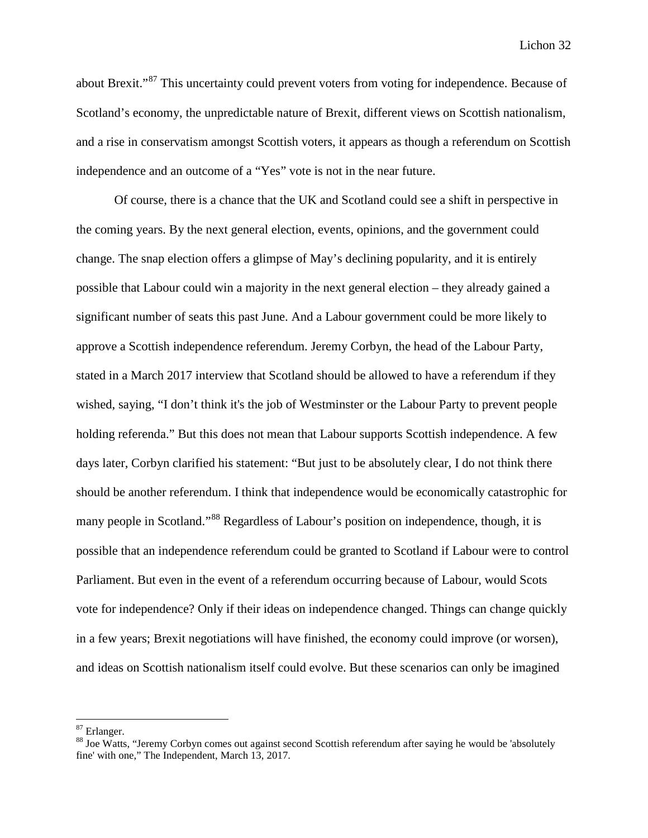about Brexit."<sup>[87](#page-32-0)</sup> This uncertainty could prevent voters from voting for independence. Because of Scotland's economy, the unpredictable nature of Brexit, different views on Scottish nationalism, and a rise in conservatism amongst Scottish voters, it appears as though a referendum on Scottish independence and an outcome of a "Yes" vote is not in the near future.

Of course, there is a chance that the UK and Scotland could see a shift in perspective in the coming years. By the next general election, events, opinions, and the government could change. The snap election offers a glimpse of May's declining popularity, and it is entirely possible that Labour could win a majority in the next general election – they already gained a significant number of seats this past June. And a Labour government could be more likely to approve a Scottish independence referendum. Jeremy Corbyn, the head of the Labour Party, stated in a March 2017 interview that Scotland should be allowed to have a referendum if they wished, saying, "I don't think it's the job of Westminster or the Labour Party to prevent people holding referenda." But this does not mean that Labour supports Scottish independence. A few days later, Corbyn clarified his statement: "But just to be absolutely clear, I do not think there should be another referendum. I think that independence would be economically catastrophic for many people in Scotland."<sup>[88](#page-32-1)</sup> Regardless of Labour's position on independence, though, it is possible that an independence referendum could be granted to Scotland if Labour were to control Parliament. But even in the event of a referendum occurring because of Labour, would Scots vote for independence? Only if their ideas on independence changed. Things can change quickly in a few years; Brexit negotiations will have finished, the economy could improve (or worsen), and ideas on Scottish nationalism itself could evolve. But these scenarios can only be imagined

<span id="page-32-1"></span><span id="page-32-0"></span><sup>&</sup>lt;sup>87</sup> Erlanger.<br><sup>88</sup> Joe Watts, "Jeremy Corbyn comes out against second Scottish referendum after saying he would be 'absolutely fine' with one," The Independent, March 13, 2017.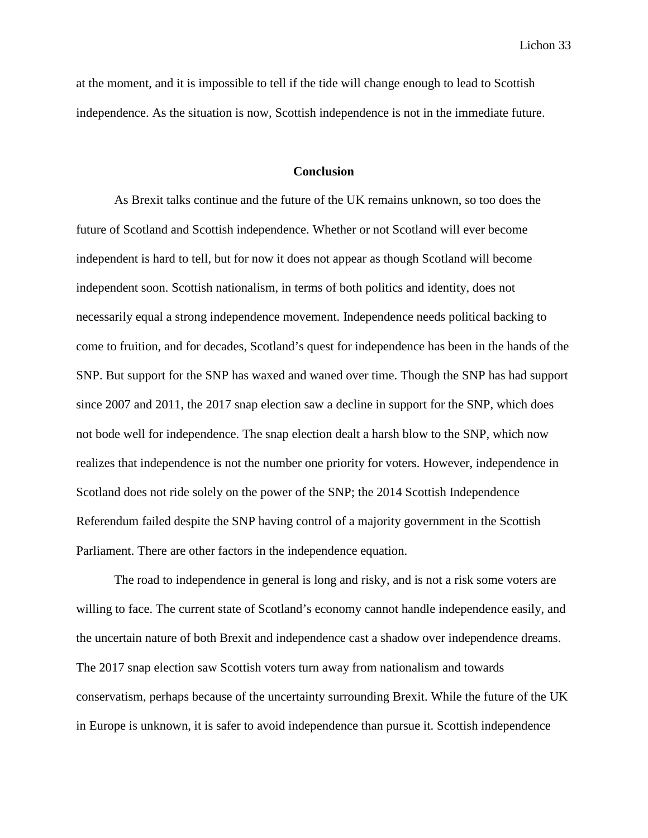at the moment, and it is impossible to tell if the tide will change enough to lead to Scottish independence. As the situation is now, Scottish independence is not in the immediate future.

### **Conclusion**

As Brexit talks continue and the future of the UK remains unknown, so too does the future of Scotland and Scottish independence. Whether or not Scotland will ever become independent is hard to tell, but for now it does not appear as though Scotland will become independent soon. Scottish nationalism, in terms of both politics and identity, does not necessarily equal a strong independence movement. Independence needs political backing to come to fruition, and for decades, Scotland's quest for independence has been in the hands of the SNP. But support for the SNP has waxed and waned over time. Though the SNP has had support since 2007 and 2011, the 2017 snap election saw a decline in support for the SNP, which does not bode well for independence. The snap election dealt a harsh blow to the SNP, which now realizes that independence is not the number one priority for voters. However, independence in Scotland does not ride solely on the power of the SNP; the 2014 Scottish Independence Referendum failed despite the SNP having control of a majority government in the Scottish Parliament. There are other factors in the independence equation.

The road to independence in general is long and risky, and is not a risk some voters are willing to face. The current state of Scotland's economy cannot handle independence easily, and the uncertain nature of both Brexit and independence cast a shadow over independence dreams. The 2017 snap election saw Scottish voters turn away from nationalism and towards conservatism, perhaps because of the uncertainty surrounding Brexit. While the future of the UK in Europe is unknown, it is safer to avoid independence than pursue it. Scottish independence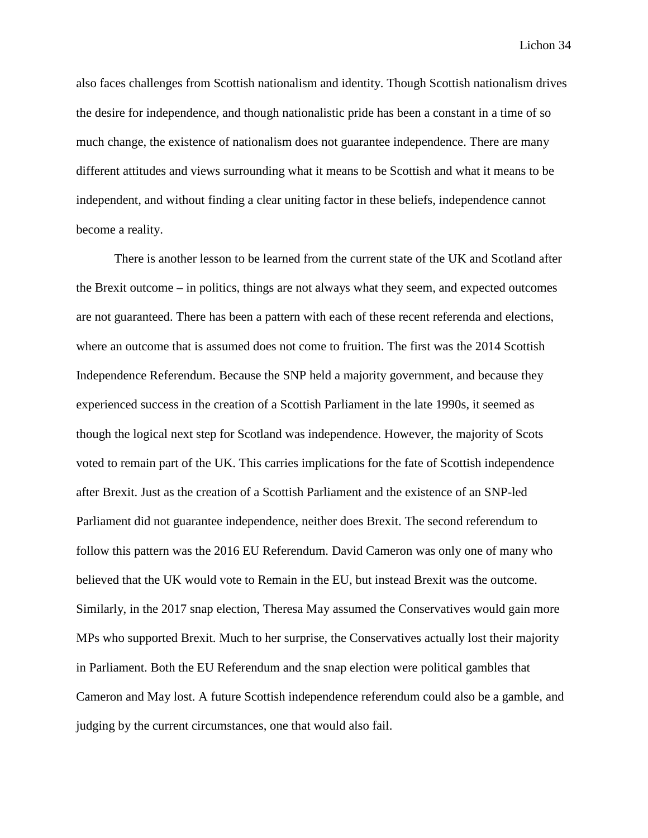also faces challenges from Scottish nationalism and identity. Though Scottish nationalism drives the desire for independence, and though nationalistic pride has been a constant in a time of so much change, the existence of nationalism does not guarantee independence. There are many different attitudes and views surrounding what it means to be Scottish and what it means to be independent, and without finding a clear uniting factor in these beliefs, independence cannot become a reality.

There is another lesson to be learned from the current state of the UK and Scotland after the Brexit outcome – in politics, things are not always what they seem, and expected outcomes are not guaranteed. There has been a pattern with each of these recent referenda and elections, where an outcome that is assumed does not come to fruition. The first was the 2014 Scottish Independence Referendum. Because the SNP held a majority government, and because they experienced success in the creation of a Scottish Parliament in the late 1990s, it seemed as though the logical next step for Scotland was independence. However, the majority of Scots voted to remain part of the UK. This carries implications for the fate of Scottish independence after Brexit. Just as the creation of a Scottish Parliament and the existence of an SNP-led Parliament did not guarantee independence, neither does Brexit. The second referendum to follow this pattern was the 2016 EU Referendum. David Cameron was only one of many who believed that the UK would vote to Remain in the EU, but instead Brexit was the outcome. Similarly, in the 2017 snap election, Theresa May assumed the Conservatives would gain more MPs who supported Brexit. Much to her surprise, the Conservatives actually lost their majority in Parliament. Both the EU Referendum and the snap election were political gambles that Cameron and May lost. A future Scottish independence referendum could also be a gamble, and judging by the current circumstances, one that would also fail.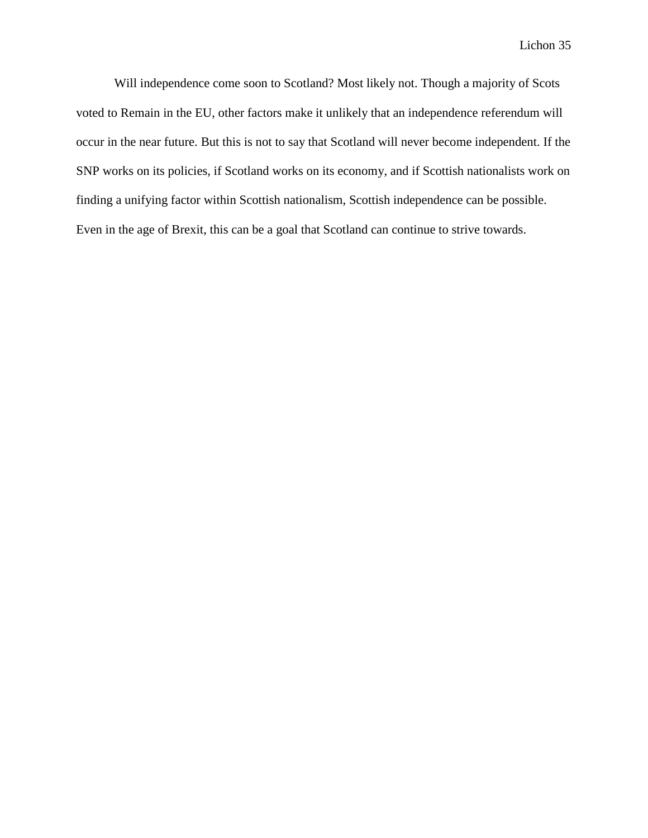Will independence come soon to Scotland? Most likely not. Though a majority of Scots voted to Remain in the EU, other factors make it unlikely that an independence referendum will occur in the near future. But this is not to say that Scotland will never become independent. If the SNP works on its policies, if Scotland works on its economy, and if Scottish nationalists work on finding a unifying factor within Scottish nationalism, Scottish independence can be possible. Even in the age of Brexit, this can be a goal that Scotland can continue to strive towards.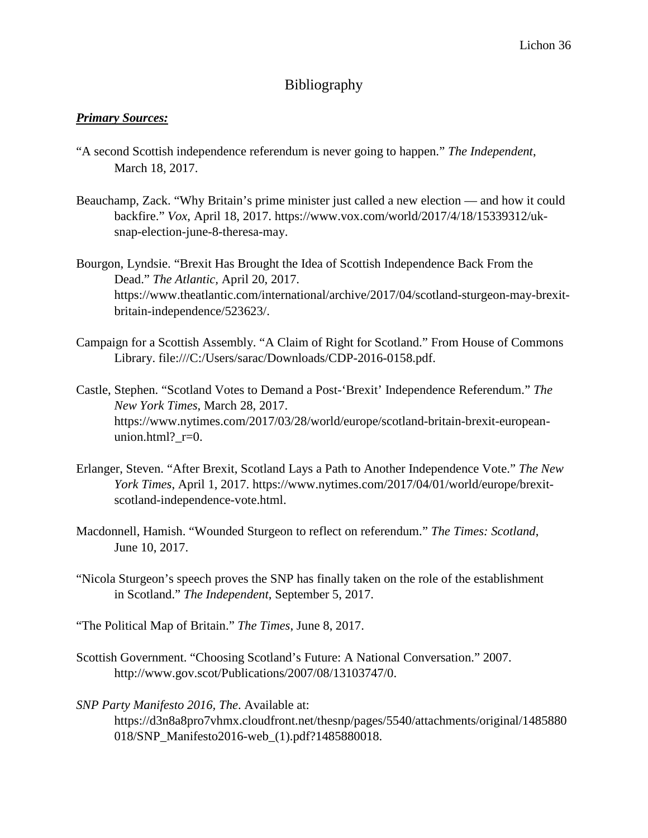# Bibliography

# *Primary Sources:*

- "A second Scottish independence referendum is never going to happen." *The Independent*, March 18, 2017.
- Beauchamp, Zack. "Why Britain's prime minister just called a new election and how it could backfire." *Vox*, April 18, 2017. https://www.vox.com/world/2017/4/18/15339312/uksnap-election-june-8-theresa-may.
- Bourgon, Lyndsie. "Brexit Has Brought the Idea of Scottish Independence Back From the Dead." *The Atlantic,* April 20, 2017. https://www.theatlantic.com/international/archive/2017/04/scotland-sturgeon-may-brexitbritain-independence/523623/.
- Campaign for a Scottish Assembly. "A Claim of Right for Scotland." From House of Commons Library. file:///C:/Users/sarac/Downloads/CDP-2016-0158.pdf.
- Castle, Stephen. "Scotland Votes to Demand a Post-'Brexit' Independence Referendum." *The New York Times*, March 28, 2017. https://www.nytimes.com/2017/03/28/world/europe/scotland-britain-brexit-europeanunion.html?  $r=0$ .
- Erlanger, Steven. "After Brexit, Scotland Lays a Path to Another Independence Vote." *The New York Times*, April 1, 2017. https://www.nytimes.com/2017/04/01/world/europe/brexitscotland-independence-vote.html.
- Macdonnell, Hamish. "Wounded Sturgeon to reflect on referendum." *The Times: Scotland*, June 10, 2017.
- "Nicola Sturgeon's speech proves the SNP has finally taken on the role of the establishment in Scotland." *The Independent*, September 5, 2017.
- "The Political Map of Britain." *The Times*, June 8, 2017.
- Scottish Government. "Choosing Scotland's Future: A National Conversation." 2007. http://www.gov.scot/Publications/2007/08/13103747/0.

*SNP Party Manifesto 2016, The*. Available at: https://d3n8a8pro7vhmx.cloudfront.net/thesnp/pages/5540/attachments/original/1485880 018/SNP\_Manifesto2016-web\_(1).pdf?1485880018.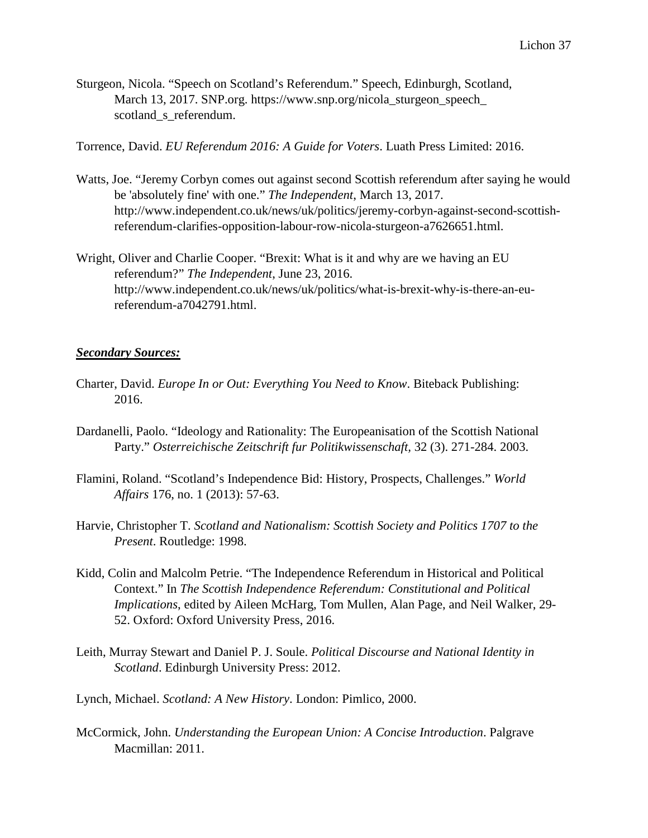Sturgeon, Nicola. "Speech on Scotland's Referendum." Speech, Edinburgh, Scotland, March 13, 2017. SNP.org. https://www.snp.org/nicola\_sturgeon\_speech\_ scotland s referendum.

Torrence, David. *EU Referendum 2016: A Guide for Voters*. Luath Press Limited: 2016.

- Watts, Joe. "Jeremy Corbyn comes out against second Scottish referendum after saying he would be 'absolutely fine' with one." *The Independent*, March 13, 2017. http://www.independent.co.uk/news/uk/politics/jeremy-corbyn-against-second-scottishreferendum-clarifies-opposition-labour-row-nicola-sturgeon-a7626651.html.
- Wright, Oliver and Charlie Cooper. "Brexit: What is it and why are we having an EU referendum?" *The Independent*, June 23, 2016. http://www.independent.co.uk/news/uk/politics/what-is-brexit-why-is-there-an-eureferendum-a7042791.html.

# *Secondary Sources:*

- Charter, David. *Europe In or Out: Everything You Need to Know*. Biteback Publishing: 2016.
- Dardanelli, Paolo. "Ideology and Rationality: The Europeanisation of the Scottish National Party." *Osterreichische Zeitschrift fur Politikwissenschaft,* 32 (3). 271-284. 2003.
- Flamini, Roland. "Scotland's Independence Bid: History, Prospects, Challenges." *World Affairs* 176, no. 1 (2013): 57-63.
- Harvie, Christopher T. *Scotland and Nationalism: Scottish Society and Politics 1707 to the Present*. Routledge: 1998.
- Kidd, Colin and Malcolm Petrie. "The Independence Referendum in Historical and Political Context." In *The Scottish Independence Referendum: Constitutional and Political Implications*, edited by Aileen McHarg, Tom Mullen, Alan Page, and Neil Walker, 29- 52. Oxford: Oxford University Press, 2016.
- Leith, Murray Stewart and Daniel P. J. Soule. *Political Discourse and National Identity in Scotland*. Edinburgh University Press: 2012.
- Lynch, Michael. *Scotland: A New History*. London: Pimlico, 2000.
- McCormick, John. *Understanding the European Union: A Concise Introduction*. Palgrave Macmillan: 2011.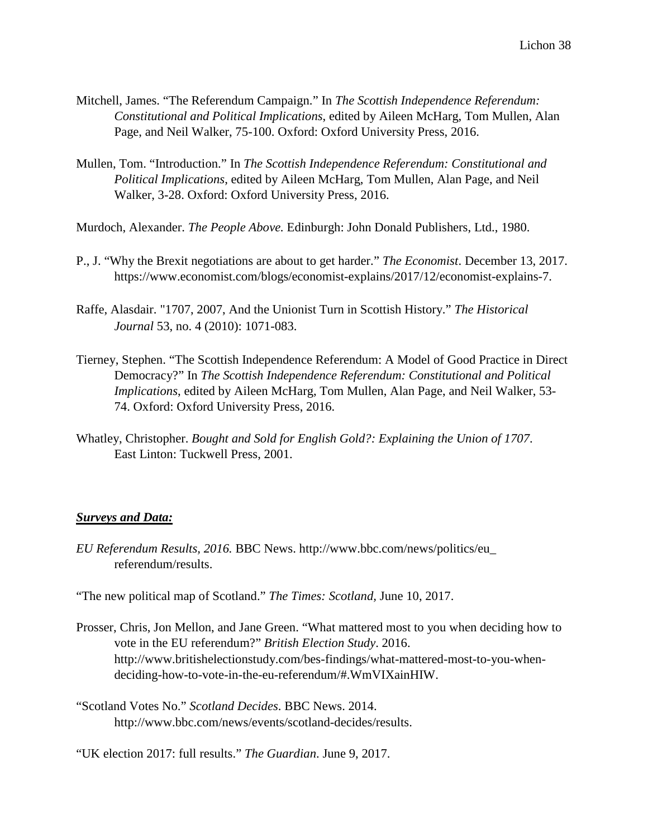- Mitchell, James. "The Referendum Campaign." In *The Scottish Independence Referendum: Constitutional and Political Implications*, edited by Aileen McHarg, Tom Mullen, Alan Page, and Neil Walker, 75-100. Oxford: Oxford University Press, 2016.
- Mullen, Tom. "Introduction." In *The Scottish Independence Referendum: Constitutional and Political Implications*, edited by Aileen McHarg, Tom Mullen, Alan Page, and Neil Walker, 3-28. Oxford: Oxford University Press, 2016.

Murdoch, Alexander. *The People Above.* Edinburgh: John Donald Publishers, Ltd., 1980.

- P., J. "Why the Brexit negotiations are about to get harder." *The Economist*. December 13, 2017. https://www.economist.com/blogs/economist-explains/2017/12/economist-explains-7.
- Raffe, Alasdair. "1707, 2007, And the Unionist Turn in Scottish History." *The Historical Journal* 53, no. 4 (2010): 1071-083.
- Tierney, Stephen. "The Scottish Independence Referendum: A Model of Good Practice in Direct Democracy?" In *The Scottish Independence Referendum: Constitutional and Political Implications*, edited by Aileen McHarg, Tom Mullen, Alan Page, and Neil Walker, 53- 74. Oxford: Oxford University Press, 2016.
- Whatley, Christopher. *Bought and Sold for English Gold?: Explaining the Union of 1707*. East Linton: Tuckwell Press, 2001.

# *Surveys and Data:*

*EU Referendum Results, 2016.* BBC News. http://www.bbc.com/news/politics/eu\_ referendum/results.

"The new political map of Scotland." *The Times: Scotland,* June 10, 2017.

- Prosser, Chris, Jon Mellon, and Jane Green. "What mattered most to you when deciding how to vote in the EU referendum?" *British Election Study*. 2016. http://www.britishelectionstudy.com/bes-findings/what-mattered-most-to-you-whendeciding-how-to-vote-in-the-eu-referendum/#.WmVIXainHIW.
- "Scotland Votes No." *Scotland Decides*. BBC News. 2014. http://www.bbc.com/news/events/scotland-decides/results.
- "UK election 2017: full results." *The Guardian*. June 9, 2017.